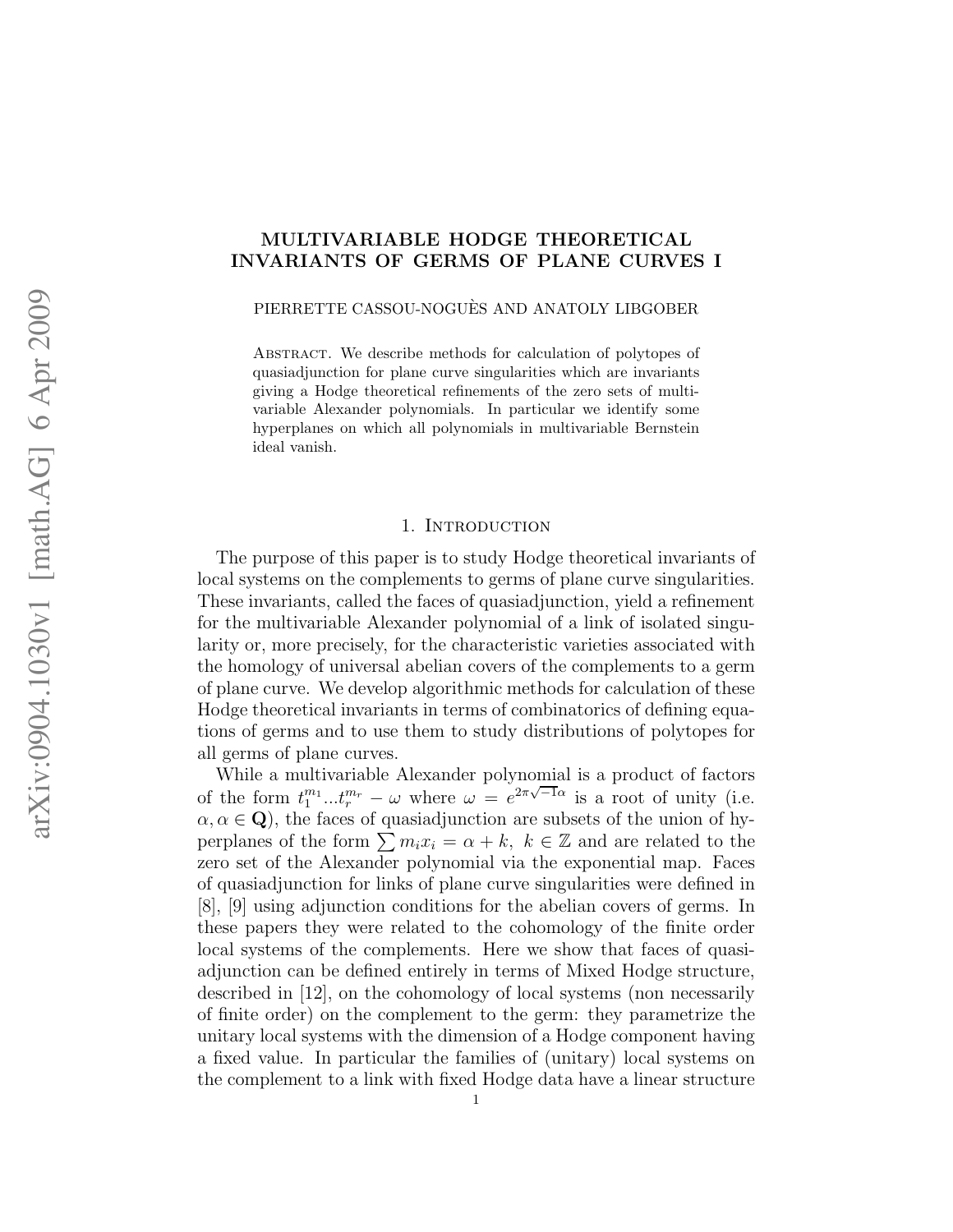# MULTIVARIABLE HODGE THEORETICAL INVARIANTS OF GERMS OF PLANE CURVES I

PIERRETTE CASSOU-NOGUÈS AND ANATOLY LIBGOBER

Abstract. We describe methods for calculation of polytopes of quasiadjunction for plane curve singularities which are invariants giving a Hodge theoretical refinements of the zero sets of multivariable Alexander polynomials. In particular we identify some hyperplanes on which all polynomials in multivariable Bernstein ideal vanish.

### 1. INTRODUCTION

The purpose of this paper is to study Hodge theoretical invariants of local systems on the complements to germs of plane curve singularities. These invariants, called the faces of quasiadjunction, yield a refinement for the multivariable Alexander polynomial of a link of isolated singularity or, more precisely, for the characteristic varieties associated with the homology of universal abelian covers of the complements to a germ of plane curve. We develop algorithmic methods for calculation of these Hodge theoretical invariants in terms of combinatorics of defining equations of germs and to use them to study distributions of polytopes for all germs of plane curves.

While a multivariable Alexander polynomial is a product of factors of the form  $t_1^{m_1}...t_r^{m_r} - \omega$  where  $\omega = e^{2\pi\sqrt{-1}\alpha}$  is a root of unity (i.e.  $\alpha, \alpha \in \mathbf{Q}$ , the faces of quasiadjunction are subsets of the union of hyperplanes of the form  $\sum m_i x_i = \alpha + k$ ,  $k \in \mathbb{Z}$  and are related to the zero set of the Alexander polynomial via the exponential map. Faces of quasiadjunction for links of plane curve singularities were defined in [8], [9] using adjunction conditions for the abelian covers of germs. In these papers they were related to the cohomology of the finite order local systems of the complements. Here we show that faces of quasiadjunction can be defined entirely in terms of Mixed Hodge structure, described in [12], on the cohomology of local systems (non necessarily of finite order) on the complement to the germ: they parametrize the unitary local systems with the dimension of a Hodge component having a fixed value. In particular the families of (unitary) local systems on the complement to a link with fixed Hodge data have a linear structure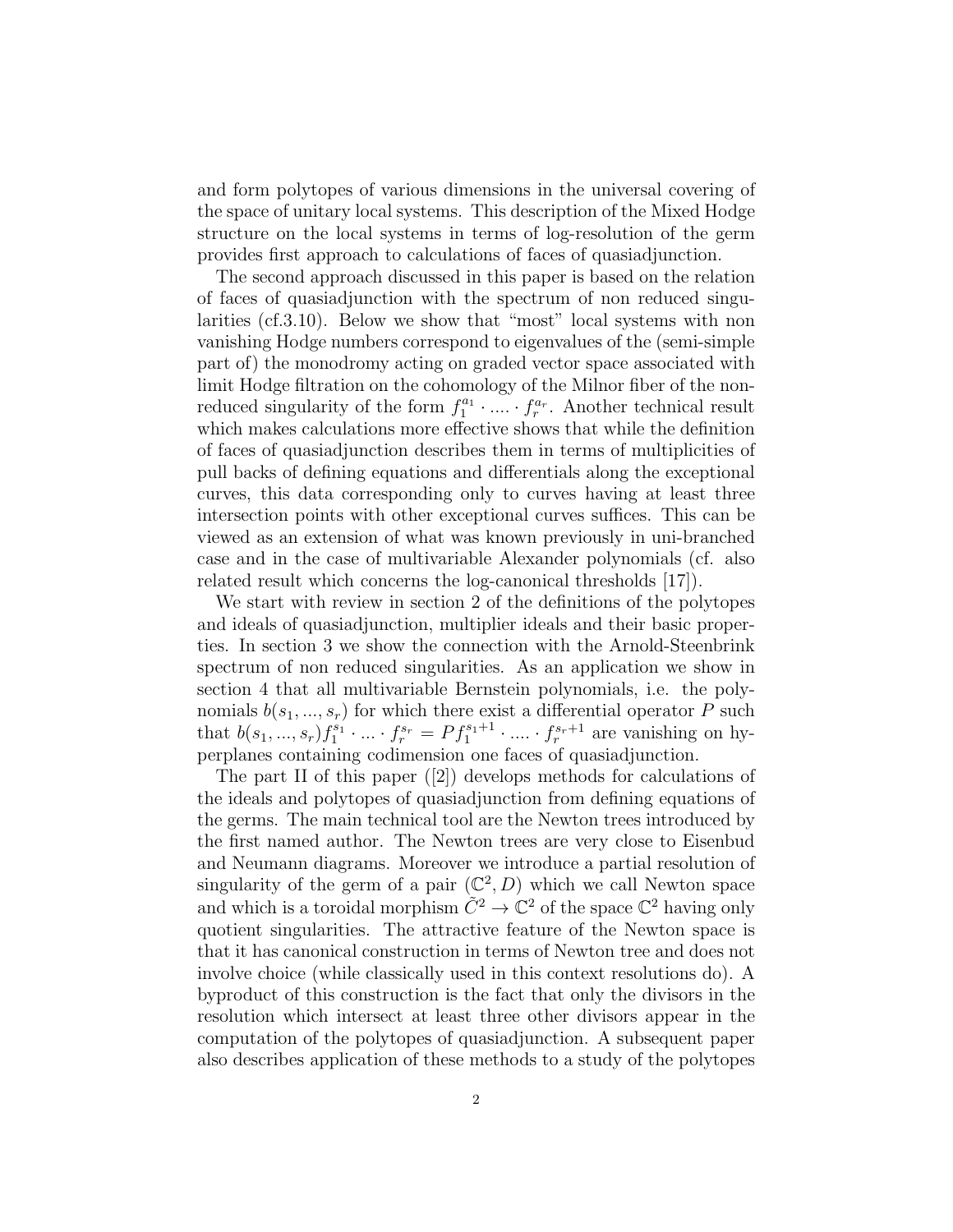and form polytopes of various dimensions in the universal covering of the space of unitary local systems. This description of the Mixed Hodge structure on the local systems in terms of log-resolution of the germ provides first approach to calculations of faces of quasiadjunction.

The second approach discussed in this paper is based on the relation of faces of quasiadjunction with the spectrum of non reduced singularities (cf.3.10). Below we show that "most" local systems with non vanishing Hodge numbers correspond to eigenvalues of the (semi-simple part of) the monodromy acting on graded vector space associated with limit Hodge filtration on the cohomology of the Milnor fiber of the nonreduced singularity of the form  $f_1^{a_1} \cdot \ldots \cdot f_r^{a_r}$ . Another technical result which makes calculations more effective shows that while the definition of faces of quasiadjunction describes them in terms of multiplicities of pull backs of defining equations and differentials along the exceptional curves, this data corresponding only to curves having at least three intersection points with other exceptional curves suffices. This can be viewed as an extension of what was known previously in uni-branched case and in the case of multivariable Alexander polynomials (cf. also related result which concerns the log-canonical thresholds [17]).

We start with review in section 2 of the definitions of the polytopes and ideals of quasiadjunction, multiplier ideals and their basic properties. In section 3 we show the connection with the Arnold-Steenbrink spectrum of non reduced singularities. As an application we show in section 4 that all multivariable Bernstein polynomials, i.e. the polynomials  $b(s_1, ..., s_r)$  for which there exist a differential operator P such that  $b(s_1, ..., s_r) f_1^{s_1} \cdot ... \cdot f_r^{s_r} = Pf_1^{s_1+1} \cdot ... \cdot f_r^{s_r+1}$  are vanishing on hyperplanes containing codimension one faces of quasiadjunction.

The part II of this paper ([2]) develops methods for calculations of the ideals and polytopes of quasiadjunction from defining equations of the germs. The main technical tool are the Newton trees introduced by the first named author. The Newton trees are very close to Eisenbud and Neumann diagrams. Moreover we introduce a partial resolution of singularity of the germ of a pair  $(\mathbb{C}^2, D)$  which we call Newton space and which is a toroidal morphism  $\tilde{C}^2 \to \mathbb{C}^2$  of the space  $\mathbb{C}^2$  having only quotient singularities. The attractive feature of the Newton space is that it has canonical construction in terms of Newton tree and does not involve choice (while classically used in this context resolutions do). A byproduct of this construction is the fact that only the divisors in the resolution which intersect at least three other divisors appear in the computation of the polytopes of quasiadjunction. A subsequent paper also describes application of these methods to a study of the polytopes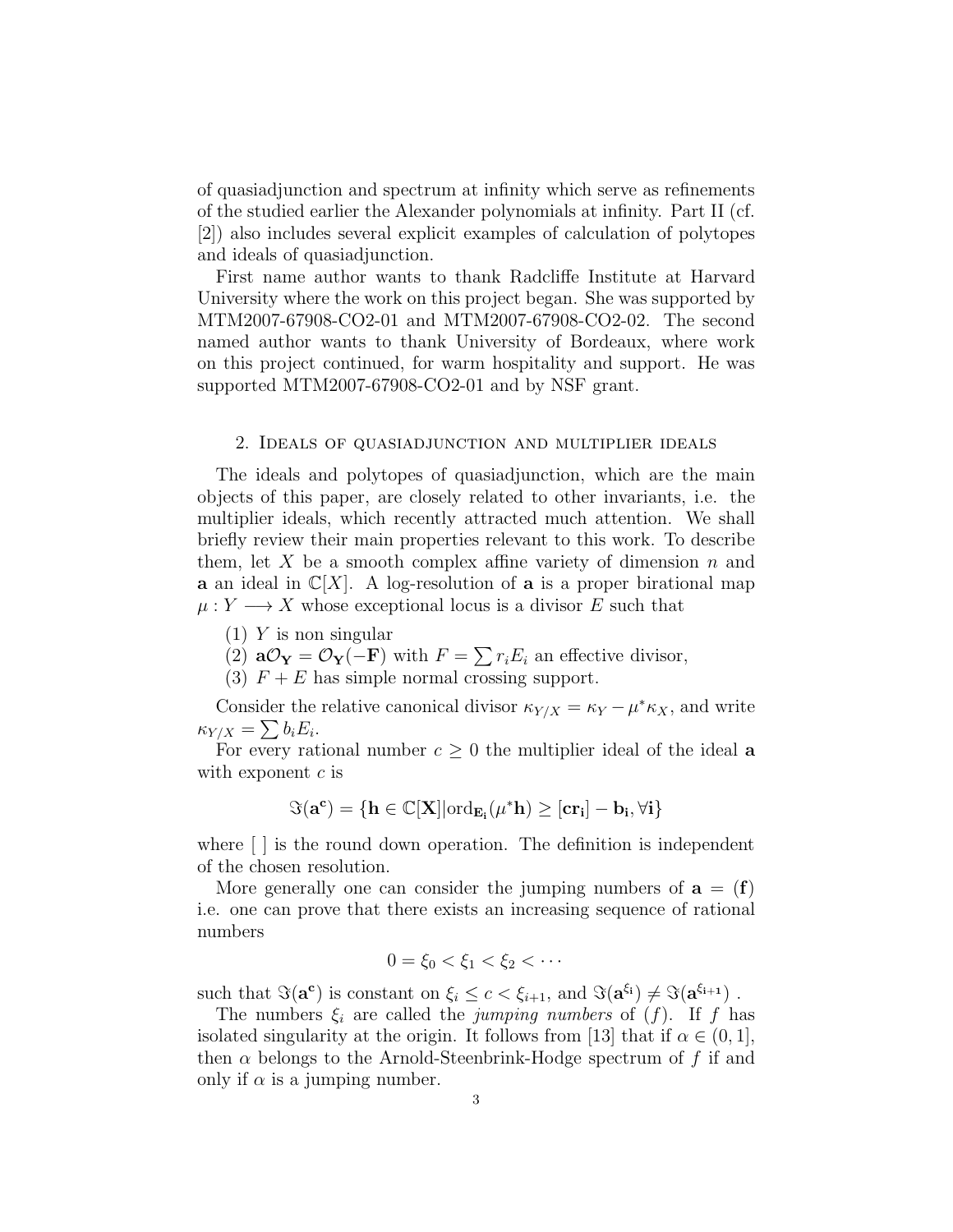of quasiadjunction and spectrum at infinity which serve as refinements of the studied earlier the Alexander polynomials at infinity. Part II (cf. [2]) also includes several explicit examples of calculation of polytopes and ideals of quasiadjunction.

First name author wants to thank Radcliffe Institute at Harvard University where the work on this project began. She was supported by MTM2007-67908-CO2-01 and MTM2007-67908-CO2-02. The second named author wants to thank University of Bordeaux, where work on this project continued, for warm hospitality and support. He was supported MTM2007-67908-CO2-01 and by NSF grant.

#### 2. Ideals of quasiadjunction and multiplier ideals

The ideals and polytopes of quasiadjunction, which are the main objects of this paper, are closely related to other invariants, i.e. the multiplier ideals, which recently attracted much attention. We shall briefly review their main properties relevant to this work. To describe them, let X be a smooth complex affine variety of dimension  $n$  and **a** an ideal in  $\mathbb{C}[X]$ . A log-resolution of **a** is a proper birational map  $\mu: Y \longrightarrow X$  whose exceptional locus is a divisor E such that

 $(1)$  Y is non singular

(2)  $aO_Y = O_Y(-F)$  with  $F = \sum r_i E_i$  an effective divisor,

(3)  $F + E$  has simple normal crossing support.

Consider the relative canonical divisor  $\kappa_{Y/X} = \kappa_Y - \mu^* \kappa_X$ , and write  $\kappa_{Y/X} = \sum b_i E_i.$ 

For every rational number  $c \geq 0$  the multiplier ideal of the ideal **a** with exponent  $c$  is

$$
\Im(\mathbf{a^c}) = \{\mathbf{h} \in \mathbb{C}[\mathbf{X}] | \mathrm{ord}_{\mathbf{E_i}}(\mu^*\mathbf{h}) \geq [\mathbf{c}\mathbf{r_i}] - \mathbf{b_i}, \forall \mathbf{i}\}
$$

where  $\lceil \cdot \rceil$  is the round down operation. The definition is independent of the chosen resolution.

More generally one can consider the jumping numbers of  $a = (f)$ i.e. one can prove that there exists an increasing sequence of rational numbers

$$
0 = \xi_0 < \xi_1 < \xi_2 < \cdots
$$

such that  $\Im(\mathbf{a}^{\mathbf{c}})$  is constant on  $\xi_i \leq c < \xi_{i+1}$ , and  $\Im(\mathbf{a}^{\xi_i}) \neq \Im(\mathbf{a}^{\xi_{i+1}})$ .

The numbers  $\xi_i$  are called the *jumping numbers* of  $(f)$ . If f has isolated singularity at the origin. It follows from [13] that if  $\alpha \in (0, 1]$ , then  $\alpha$  belongs to the Arnold-Steenbrink-Hodge spectrum of f if and only if  $\alpha$  is a jumping number.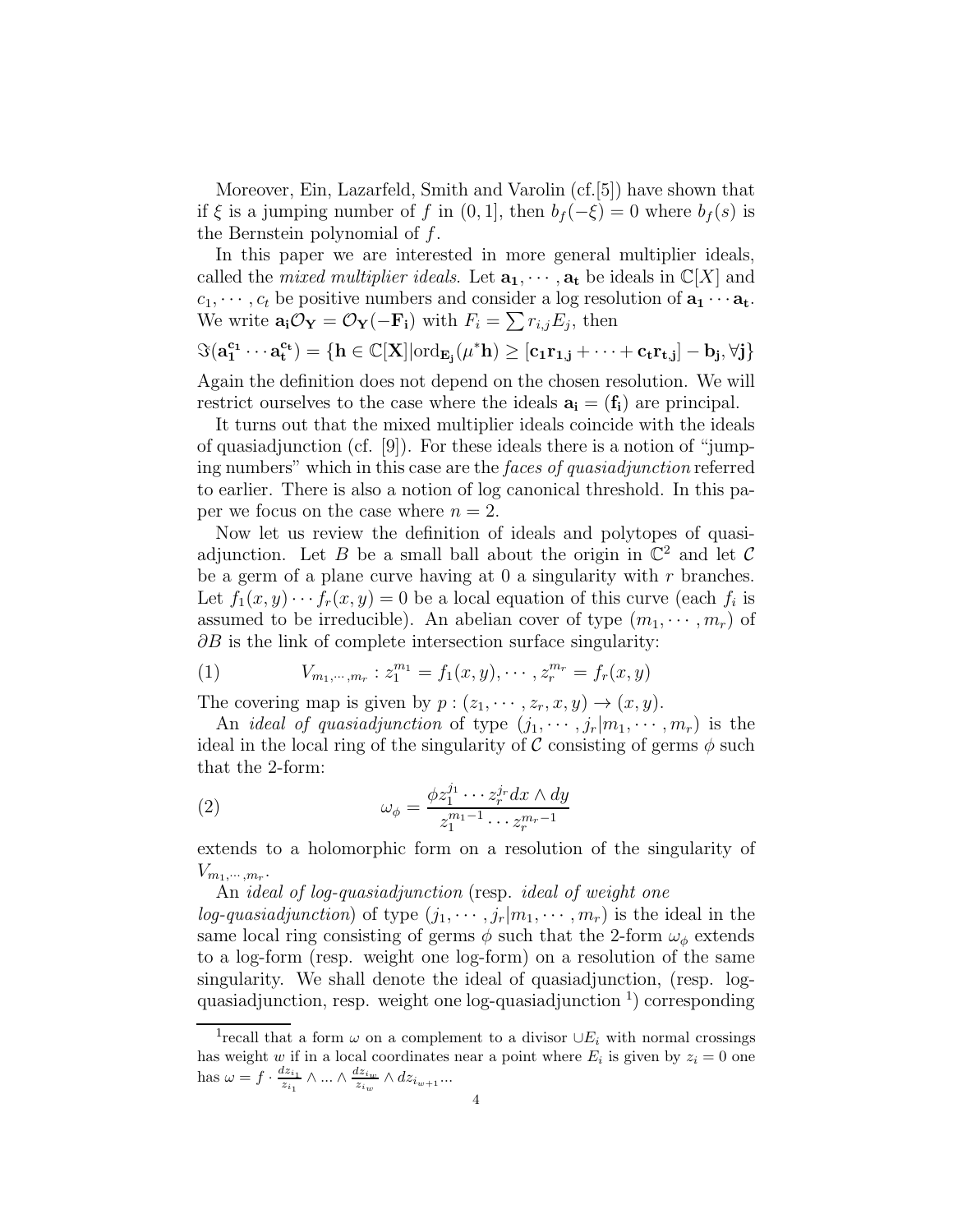Moreover, Ein, Lazarfeld, Smith and Varolin (cf.[5]) have shown that if  $\xi$  is a jumping number of f in  $(0, 1]$ , then  $b_f(-\xi) = 0$  where  $b_f(s)$  is the Bernstein polynomial of f.

In this paper we are interested in more general multiplier ideals, called the *mixed multiplier ideals*. Let  $\mathbf{a}_1, \dots, \mathbf{a}_t$  be ideals in  $\mathbb{C}[X]$  and  $c_1, \dots, c_t$  be positive numbers and consider a log resolution of  $\mathbf{a}_1 \cdots \mathbf{a}_t$ . We write  $\mathbf{a_i}\mathcal{O}_\mathbf{Y}=\mathcal{O}_\mathbf{Y}(-\mathbf{F_i})$  with  $F_i=\sum r_{i,j}E_j$ , then

 $\Im(\mathbf{a_1^{c_1}}\cdots \mathbf{a_t^{c_t}}) = \{\mathbf{h} \in \mathbb{C}[\mathbf{X}] | \mathrm{ord}_{\mathbf{E_j}}(\mu^*\mathbf{h}) \geq [\mathbf{c_1 r_{1,j}} + \cdots + \mathbf{c_t r_{t,j}}] - \mathbf{b_j}, \forall \mathbf{j}\}$ 

Again the definition does not depend on the chosen resolution. We will restrict ourselves to the case where the ideals  $\mathbf{a}_i = (\mathbf{f}_i)$  are principal.

It turns out that the mixed multiplier ideals coincide with the ideals of quasiadjunction (cf. [9]). For these ideals there is a notion of "jumping numbers" which in this case are the faces of quasiadjunction referred to earlier. There is also a notion of log canonical threshold. In this paper we focus on the case where  $n = 2$ .

Now let us review the definition of ideals and polytopes of quasiadjunction. Let B be a small ball about the origin in  $\mathbb{C}^2$  and let C be a germ of a plane curve having at  $0$  a singularity with r branches. Let  $f_1(x, y) \cdots f_r(x, y) = 0$  be a local equation of this curve (each  $f_i$  is assumed to be irreducible). An abelian cover of type  $(m_1, \dots, m_r)$  of  $\partial B$  is the link of complete intersection surface singularity:

(1) 
$$
V_{m_1,\dots,m_r}: z_1^{m_1} = f_1(x,y), \dots, z_r^{m_r} = f_r(x,y)
$$

The covering map is given by  $p:(z_1,\dots, z_r, x, y) \rightarrow (x, y)$ .

An *ideal of quasiadjunction* of type  $(j_1, \dots, j_r|m_1, \dots, m_r)$  is the ideal in the local ring of the singularity of  $\mathcal C$  consisting of germs  $\phi$  such that the 2-form:

(2) 
$$
\omega_{\phi} = \frac{\phi z_1^{j_1} \cdots z_r^{j_r} dx \wedge dy}{z_1^{m_1 - 1} \cdots z_r^{m_r - 1}}
$$

extends to a holomorphic form on a resolution of the singularity of  $V_{m_1,\cdots,m_r}$ .

An ideal of log-quasiadjunction (resp. ideal of weight one

log-quasiadjunction) of type  $(j_1, \dots, j_r|m_1, \dots, m_r)$  is the ideal in the same local ring consisting of germs  $\phi$  such that the 2-form  $\omega_{\phi}$  extends to a log-form (resp. weight one log-form) on a resolution of the same singularity. We shall denote the ideal of quasiadjunction, (resp. logquasiadjunction, resp. weight one log-quasiadjunction<sup>1</sup>) corresponding

<sup>&</sup>lt;sup>1</sup>recall that a form  $\omega$  on a complement to a divisor  $\cup E_i$  with normal crossings has weight w if in a local coordinates near a point where  $E_i$  is given by  $z_i = 0$  one has  $\omega = f \cdot \frac{dz_{i_1}}{z_{i_1}} \wedge \ldots \wedge \frac{dz_{i_w}}{z_{i_w}} \wedge dz_{i_{w+1}} \ldots$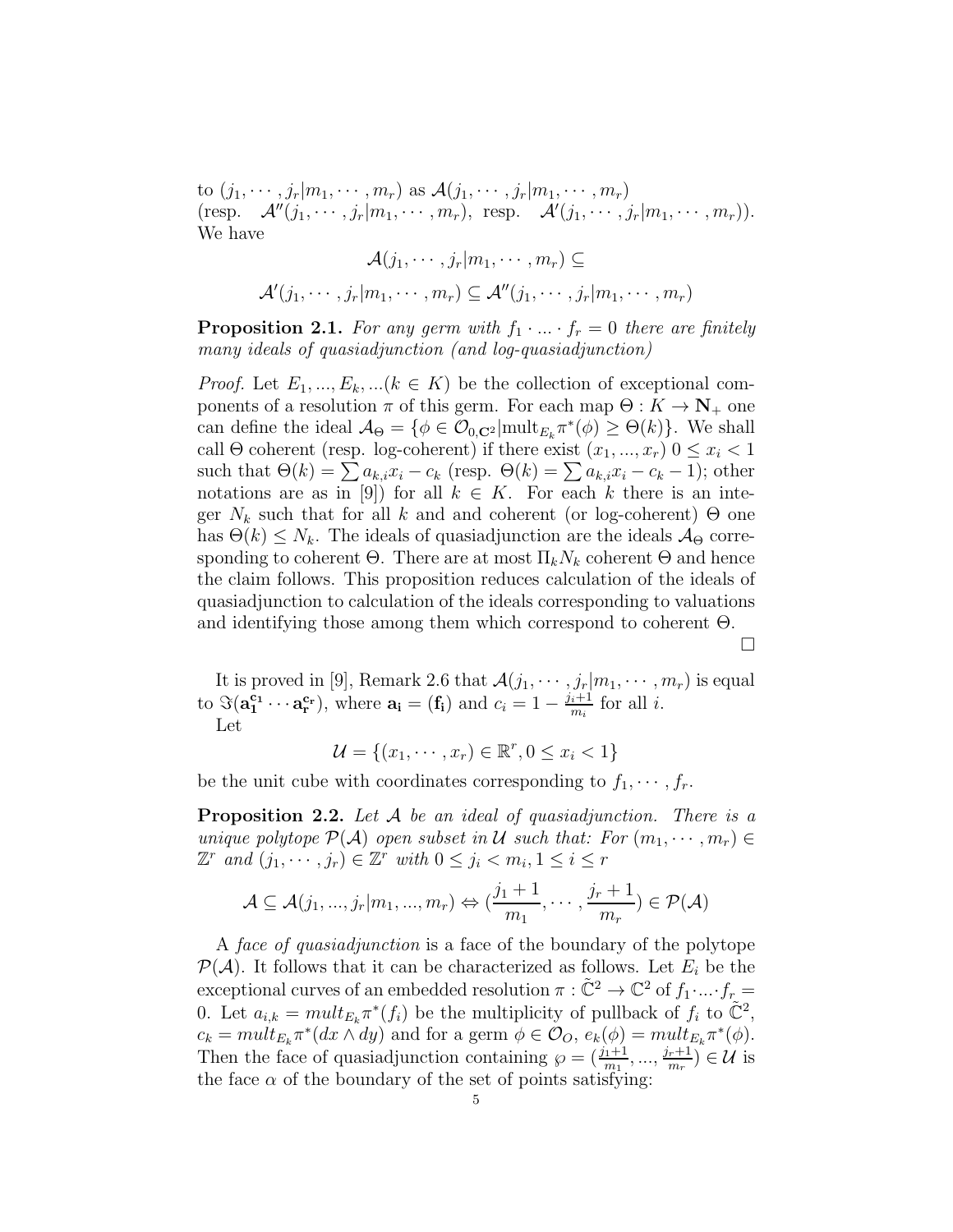to  $(j_1, \dots, j_r | m_1, \dots, m_r)$  as  $\mathcal{A}(j_1, \dots, j_r | m_1, \dots, m_r)$  $(\text{resp. } \mathcal{A}''(j_1,\dots,j_r|m_1,\dots,m_r), \text{ resp. } \mathcal{A}'(j_1,\dots,j_r|m_1,\dots,m_r)).$ We have

$$
\mathcal{A}(j_1, \cdots, j_r | m_1, \cdots, m_r) \subseteq
$$

$$
\mathcal{A}'(j_1, \cdots, j_r | m_1, \cdots, m_r) \subseteq \mathcal{A}''(j_1, \cdots, j_r | m_1, \cdots, m_r)
$$

**Proposition 2.1.** For any germ with  $f_1 \cdot ... \cdot f_r = 0$  there are finitely many ideals of quasiadjunction (and log-quasiadjunction)

*Proof.* Let  $E_1, ..., E_k, ..., (k \in K)$  be the collection of exceptional components of a resolution  $\pi$  of this germ. For each map  $\Theta: K \to \mathbb{N}_+$  one can define the ideal  $\mathcal{A}_{\Theta} = \{ \phi \in \mathcal{O}_{0,\mathbf{C}^2} | \text{mult}_{E_k} \pi^*(\phi) \geq \Theta(k) \}.$  We shall call  $\Theta$  coherent (resp. log-coherent) if there exist  $(x_1, ..., x_r)$   $0 \le x_i < 1$ such that  $\Theta(k) = \sum a_{k,i}x_i - c_k$  (resp.  $\Theta(k) = \sum a_{k,i}x_i - c_k - 1$ ); other notations are as in [9]) for all  $k \in K$ . For each k there is an integer  $N_k$  such that for all k and and coherent (or log-coherent)  $\Theta$  one has  $\Theta(k) \leq N_k$ . The ideals of quasiadjunction are the ideals  $\mathcal{A}_{\Theta}$  corresponding to coherent  $\Theta$ . There are at most  $\Pi_k N_k$  coherent  $\Theta$  and hence the claim follows. This proposition reduces calculation of the ideals of quasiadjunction to calculation of the ideals corresponding to valuations and identifying those among them which correspond to coherent  $\Theta$ .

 $\Box$ 

It is proved in [9], Remark 2.6 that  $\mathcal{A}(j_1, \dots, j_r|m_1, \dots, m_r)$  is equal to  $\Im(\mathbf{a}_1^{\mathbf{c}_1}\cdots\mathbf{a}_r^{\mathbf{c}_r}),$  where  $\mathbf{a}_i = (\mathbf{f}_i)$  and  $c_i = 1 - \frac{j_i+1}{m_i}$  for all *i*. Let

$$
\mathcal{U} = \{(x_1, \cdots, x_r) \in \mathbb{R}^r, 0 \le x_i < 1\}
$$

be the unit cube with coordinates corresponding to  $f_1, \dots, f_r$ .

**Proposition 2.2.** Let A be an ideal of quasiadjunction. There is a unique polytope  $\mathcal{P}(\mathcal{A})$  open subset in U such that: For  $(m_1, \dots, m_r) \in$  $\mathbb{Z}^r$  and  $(j_1, \dots, j_r) \in \mathbb{Z}^r$  with  $0 \leq j_i < m_i, 1 \leq i \leq r$ 

$$
\mathcal{A} \subseteq \mathcal{A}(j_1, ..., j_r | m_1, ..., m_r) \Leftrightarrow (\frac{j_1 + 1}{m_1}, ..., \frac{j_r + 1}{m_r}) \in \mathcal{P}(\mathcal{A})
$$

A *face of quasiadjunction* is a face of the boundary of the polytope  $\mathcal{P}(\mathcal{A})$ . It follows that it can be characterized as follows. Let  $E_i$  be the exceptional curves of an embedded resolution  $\pi : \tilde{\mathbb{C}}^2 \to \mathbb{C}^2$  of  $f_1 \cdot ... \cdot f_r =$ 0. Let  $a_{i,k} = mult_{E_k} \pi^*(f_i)$  be the multiplicity of pullback of  $f_i$  to  $\tilde{\mathbb{C}}^2$ ,  $c_k = mult_{E_k} \pi^*(dx \wedge dy)$  and for a germ  $\phi \in \mathcal{O}_O$ ,  $e_k(\phi) = mult_{E_k} \pi^*(\phi)$ . Then the face of quasiadjunction containing  $\varphi = (\frac{j_1+1}{m_1}, ..., \frac{j_r+1}{m_r}) \in \mathcal{U}$  is the face  $\alpha$  of the boundary of the set of points satisfying: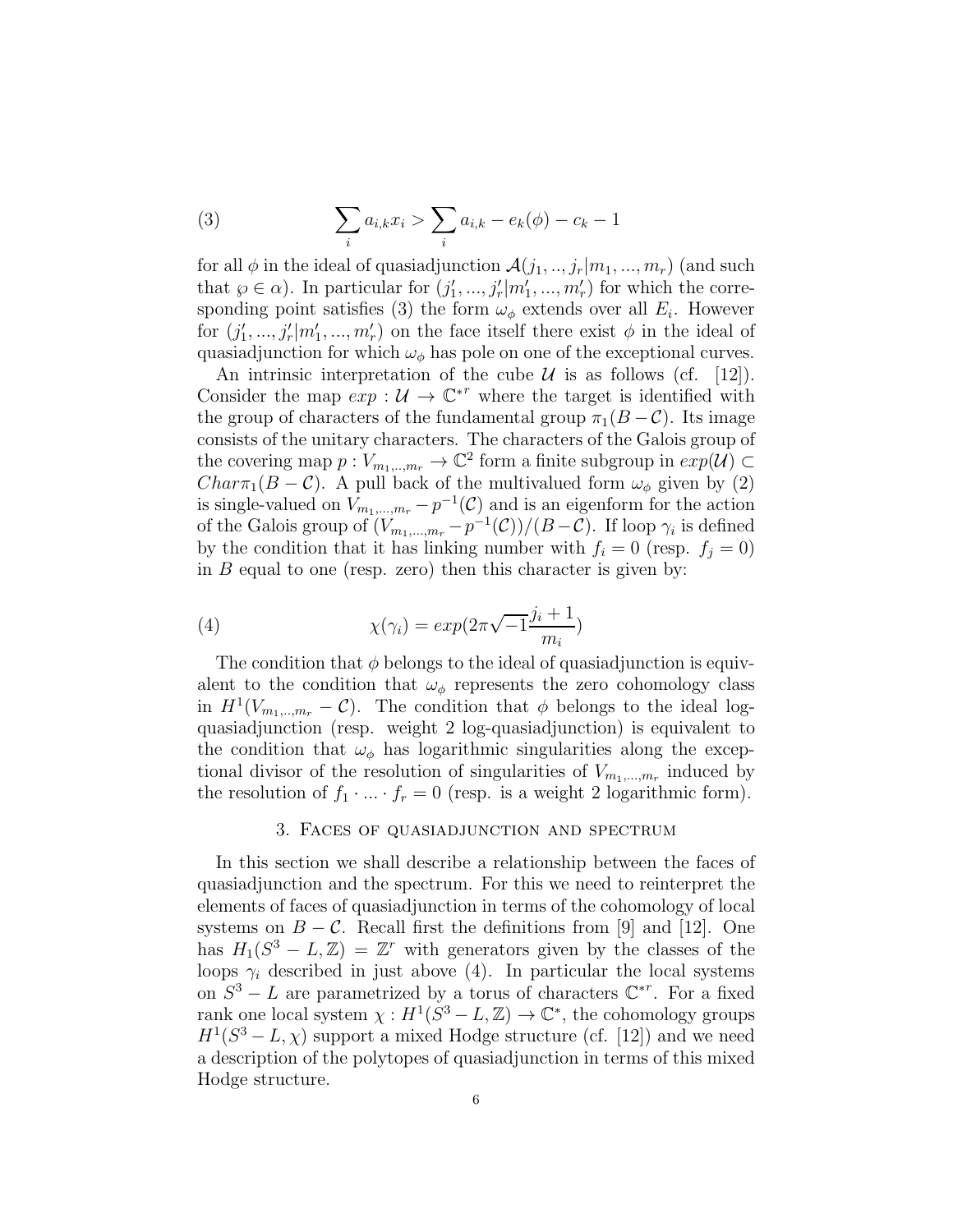(3) 
$$
\sum_{i} a_{i,k} x_i > \sum_{i} a_{i,k} - e_k(\phi) - c_k - 1
$$

for all  $\phi$  in the ideal of quasiadjunction  $\mathcal{A}(j_1,..,j_r|m_1,...,m_r)$  (and such that  $\varphi \in \alpha$ ). In particular for  $(j'_1, ..., j'_r | m'_1, ..., m'_r)$  for which the corresponding point satisfies (3) the form  $\omega_{\phi}$  extends over all  $E_i$ . However for  $(j'_1, ..., j'_r | m'_1, ..., m'_r)$  on the face itself there exist  $\phi$  in the ideal of quasiadjunction for which  $\omega_{\phi}$  has pole on one of the exceptional curves.

An intrinsic interpretation of the cube  $U$  is as follows (cf. [12]). Consider the map  $exp: \mathcal{U} \to \mathbb{C}^{*r}$  where the target is identified with the group of characters of the fundamental group  $\pi_1(B-\mathcal{C})$ . Its image consists of the unitary characters. The characters of the Galois group of the covering map  $p: V_{m_1,...,m_r} \to \mathbb{C}^2$  form a finite subgroup in  $exp(\mathcal{U}) \subset$  $Char\pi_1(B-\mathcal{C})$ . A pull back of the multivalued form  $\omega_{\phi}$  given by (2) is single-valued on  $V_{m_1,...,m_r} - p^{-1}(\mathcal{C})$  and is an eigenform for the action of the Galois group of  $(V_{m_1,...,m_r}-p^{-1}(\mathcal{C}))/\left(B-\mathcal{C}\right)$ . If loop  $\gamma_i$  is defined by the condition that it has linking number with  $f_i = 0$  (resp.  $f_i = 0$ ) in  $B$  equal to one (resp. zero) then this character is given by:

(4) 
$$
\chi(\gamma_i) = exp(2\pi\sqrt{-1}\frac{j_i+1}{m_i})
$$

The condition that  $\phi$  belongs to the ideal of quasiadjunction is equivalent to the condition that  $\omega_{\phi}$  represents the zero cohomology class in  $H^1(V_{m_1,\dots,m_r}-\mathcal{C})$ . The condition that  $\phi$  belongs to the ideal logquasiadjunction (resp. weight 2 log-quasiadjunction) is equivalent to the condition that  $\omega_{\phi}$  has logarithmic singularities along the exceptional divisor of the resolution of singularities of  $V_{m_1,...,m_r}$  induced by the resolution of  $f_1 \cdot ... \cdot f_r = 0$  (resp. is a weight 2 logarithmic form).

## 3. Faces of quasiadjunction and spectrum

In this section we shall describe a relationship between the faces of quasiadjunction and the spectrum. For this we need to reinterpret the elements of faces of quasiadjunction in terms of the cohomology of local systems on  $B - C$ . Recall first the definitions from [9] and [12]. One has  $H_1(S^3 - L, \mathbb{Z}) = \mathbb{Z}^r$  with generators given by the classes of the loops  $\gamma_i$  described in just above (4). In particular the local systems on  $S^3 - L$  are parametrized by a torus of characters  $\mathbb{C}^{*r}$ . For a fixed rank one local system  $\chi : H^1(S^3 - L, \mathbb{Z}) \to \mathbb{C}^*$ , the cohomology groups  $H^1(S^3 - L, \chi)$  support a mixed Hodge structure (cf. [12]) and we need a description of the polytopes of quasiadjunction in terms of this mixed Hodge structure.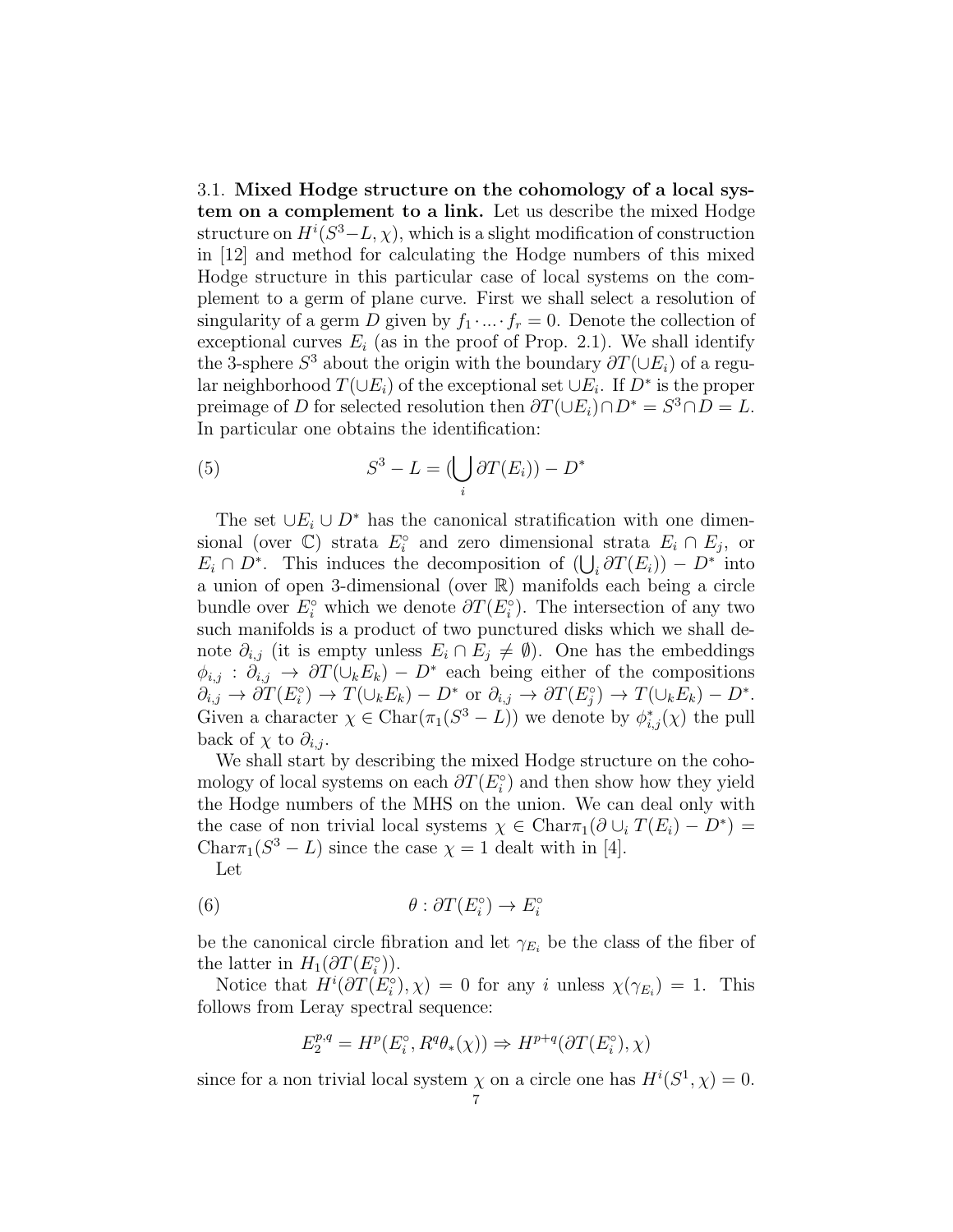3.1. Mixed Hodge structure on the cohomology of a local system on a complement to a link. Let us describe the mixed Hodge structure on  $H^i(S^3 - L, \chi)$ , which is a slight modification of construction in [12] and method for calculating the Hodge numbers of this mixed Hodge structure in this particular case of local systems on the complement to a germ of plane curve. First we shall select a resolution of singularity of a germ D given by  $f_1 \cdot ... \cdot f_r = 0$ . Denote the collection of exceptional curves  $E_i$  (as in the proof of Prop. 2.1). We shall identify the 3-sphere  $S^3$  about the origin with the boundary  $\partial T(\cup E_i)$  of a regular neighborhood  $T(\cup E_i)$  of the exceptional set  $\cup E_i$ . If  $D^*$  is the proper preimage of D for selected resolution then  $\partial T(\cup E_i)\cap D^* = S^3 \cap D = L$ . In particular one obtains the identification:

(5) 
$$
S^3 - L = \left(\bigcup_i \partial T(E_i)\right) - D^*
$$

The set  $\cup E_i \cup D^*$  has the canonical stratification with one dimensional (over  $\mathbb{C}$ ) strata  $E_i^{\circ}$  and zero dimensional strata  $E_i \cap E_j$ , or  $E_i \cap D^*$ . This induces the decomposition of  $(\bigcup_i \partial T(E_i)) - D^*$  into a union of open 3-dimensional (over R) manifolds each being a circle bundle over  $E_i^{\circ}$  which we denote  $\partial T(E_i^{\circ})$ . The intersection of any two such manifolds is a product of two punctured disks which we shall denote  $\partial_{i,j}$  (it is empty unless  $E_i \cap E_j \neq \emptyset$ ). One has the embeddings  $\phi_{i,j}$ :  $\partial_{i,j} \to \partial T(\cup_k E_k) - D^*$  each being either of the compositions  $\partial_{i,j} \to \partial T(E_i^{\circ}) \to T(\cup_k E_k) - D^*$  or  $\partial_{i,j} \to \partial T(E_j^{\circ}) \to T(\cup_k E_k) - D^*$ . Given a character  $\chi \in \text{Char}(\pi_1(S^3 - L))$  we denote by  $\phi_{i,j}^*(\chi)$  the pull back of  $\chi$  to  $\partial_{i,j}$ .

We shall start by describing the mixed Hodge structure on the cohomology of local systems on each  $\partial T(E_i^{\circ})$  and then show how they yield the Hodge numbers of the MHS on the union. We can deal only with the case of non trivial local systems  $\chi \in \text{Char}\pi_1(\partial \cup_i T(E_i) - D^*) =$ Char $\pi_1(S^3 - L)$  since the case  $\chi = 1$  dealt with in [4].

Let

(6) 
$$
\theta : \partial T(E_i^{\circ}) \to E_i^{\circ}
$$

be the canonical circle fibration and let  $\gamma_{E_i}$  be the class of the fiber of the latter in  $H_1(\partial T(E_i^{\circ}))$ .

Notice that  $H^i(\partial T(E_i^{\circ}), \chi) = 0$  for any i unless  $\chi(\gamma_{E_i}) = 1$ . This follows from Leray spectral sequence:

$$
E_2^{p,q} = H^p(E_i^{\circ}, R^q \theta_*(\chi)) \Rightarrow H^{p+q}(\partial T(E_i^{\circ}), \chi)
$$

since for a non trivial local system  $\chi$  on a circle one has  $H^{i}(S^1, \chi) = 0$ .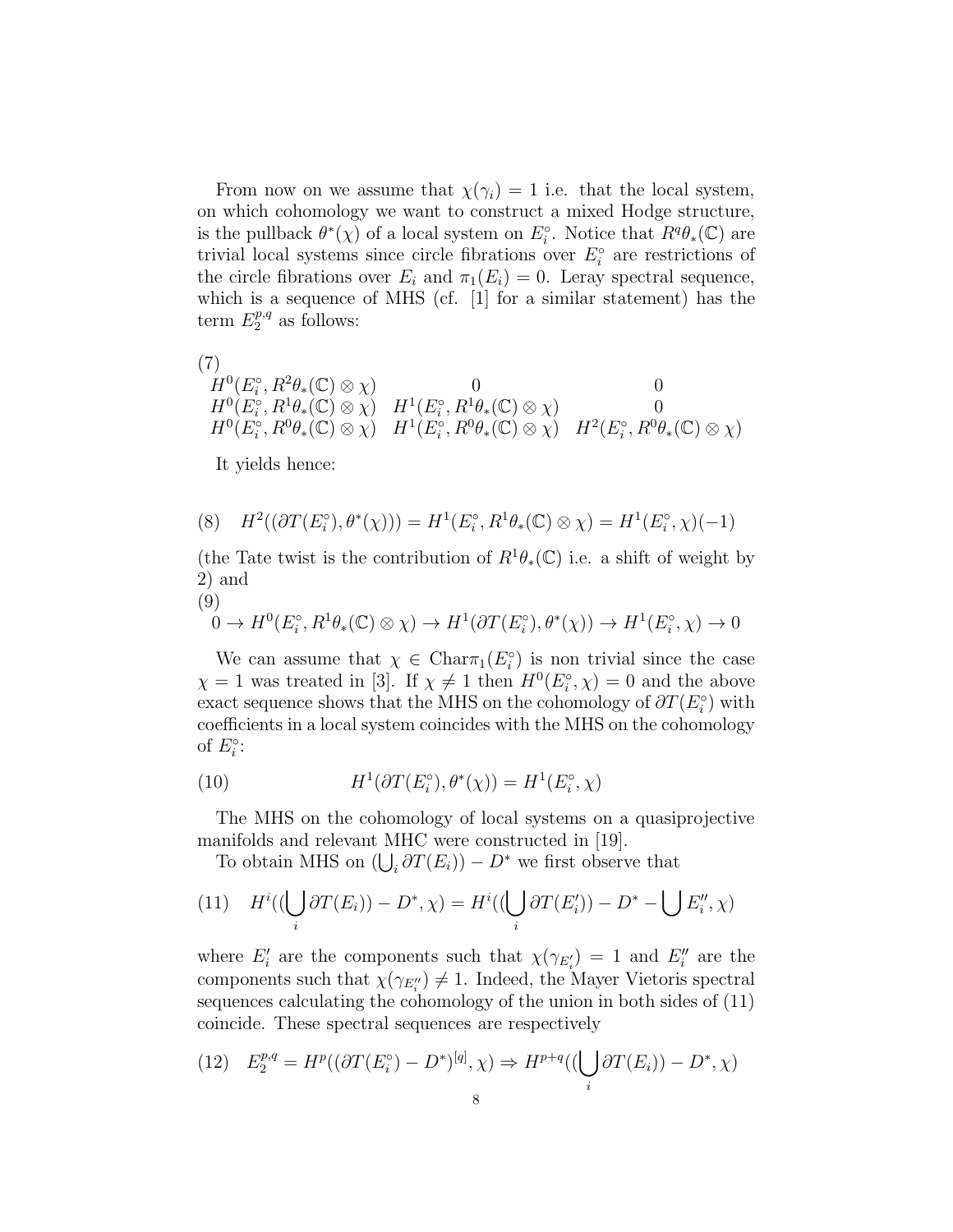From now on we assume that  $\chi(\gamma_i) = 1$  i.e. that the local system, on which cohomology we want to construct a mixed Hodge structure, is the pullback  $\theta^*(\chi)$  of a local system on  $E_i^{\circ}$ . Notice that  $R^q\theta_*(\mathbb{C})$  are trivial local systems since circle fibrations over  $E_i^{\circ}$  are restrictions of the circle fibrations over  $E_i$  and  $\pi_1(E_i) = 0$ . Leray spectral sequence, which is a sequence of MHS (cf. [1] for a similar statement) has the term  $E_2^{p,q}$  as follows:

(7)

$$
H^0(E_i^{\circ}, R^2\theta_*(\mathbb{C}) \otimes \chi) \n\begin{array}{ccc}\n0 & 0 & 0 \\
H^0(E_i^{\circ}, R^1\theta_*(\mathbb{C}) \otimes \chi) & H^1(E_i^{\circ}, R^1\theta_*(\mathbb{C}) \otimes \chi) & 0 \\
H^0(E_i^{\circ}, R^0\theta_*(\mathbb{C}) \otimes \chi) & H^1(E_i^{\circ}, R^0\theta_*(\mathbb{C}) \otimes \chi) & H^2(E_i^{\circ}, R^0\theta_*(\mathbb{C}) \otimes \chi)\n\end{array}
$$

It yields hence:

(8) 
$$
H^2((\partial T(E_i^{\circ}), \theta^*(\chi))) = H^1(E_i^{\circ}, R^1\theta_*(\mathbb{C}) \otimes \chi) = H^1(E_i^{\circ}, \chi)(-1)
$$

(the Tate twist is the contribution of  $R^1\theta_*(\mathbb{C})$  i.e. a shift of weight by 2) and

 $\rightarrow 0$ 

$$
\begin{aligned} \n(9) & 0 \to H^0(E_i^\circ, R^1 \theta_*(\mathbb{C}) \otimes \chi) \to H^1(\partial T(E_i^\circ), \theta^*(\chi)) \to H^1(E_i^\circ, \chi) \n\end{aligned}
$$

We can assume that  $\chi \in \text{Char}_{\mathcal{I}}(E_i^{\circ})$  is non trivial since the case  $\chi = 1$  was treated in [3]. If  $\chi \neq 1$  then  $H^0(E_i, \chi) = 0$  and the above exact sequence shows that the MHS on the cohomology of  $\partial T(E_i^{\circ})$  with coefficients in a local system coincides with the MHS on the cohomology of  $E_i^{\circ}$ :

(10) 
$$
H^1(\partial T(E_i^{\circ}), \theta^*(\chi)) = H^1(E_i^{\circ}, \chi)
$$

The MHS on the cohomology of local systems on a quasiprojective manifolds and relevant MHC were constructed in [19].

To obtain MHS on  $(\bigcup_i \partial T(E_i)) - D^*$  we first observe that

(11) 
$$
H^{i}((\bigcup_{i} \partial T(E_{i})) - D^{*}, \chi) = H^{i}((\bigcup_{i} \partial T(E'_{i})) - D^{*} - \bigcup E''_{i}, \chi)
$$

where  $E'_i$  are the components such that  $\chi(\gamma_{E'_i}) = 1$  and  $E''_i$  are the components such that  $\chi(\gamma_{E_i''}) \neq 1$ . Indeed, the Mayer Vietoris spectral sequences calculating the cohomology of the union in both sides of (11) coincide. These spectral sequences are respectively

$$
(12) \quad E_2^{p,q} = H^p((\partial T(E_i^{\circ}) - D^*)^{[q]}, \chi) \Rightarrow H^{p+q}((\bigcup_i \partial T(E_i)) - D^*, \chi)
$$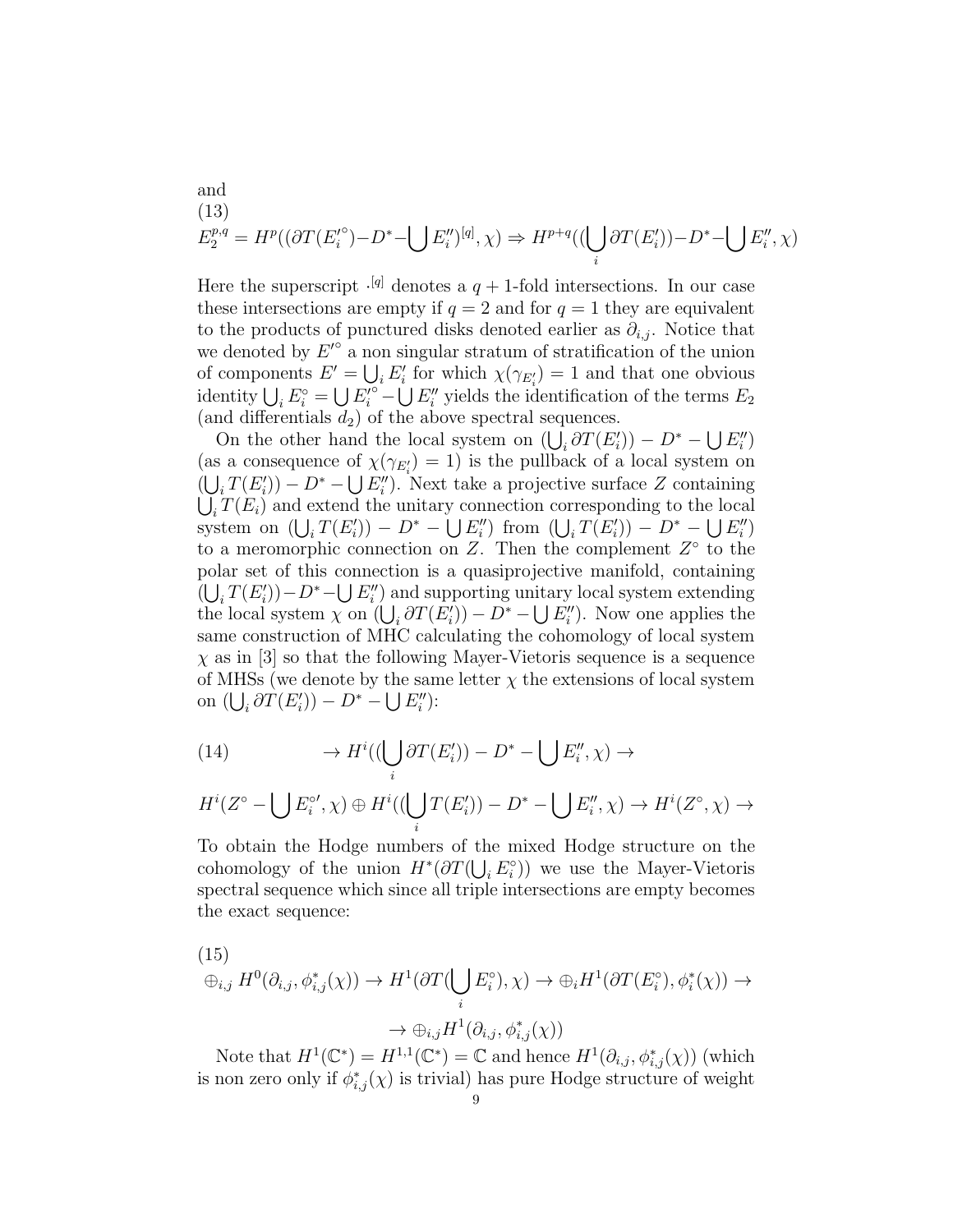and  
\n(13)  
\n
$$
E_2^{p,q} = H^p((\partial T(E_i^{\prime\circ}) - D^* - \bigcup E_i^{\prime\prime})^{[q]}, \chi) \Rightarrow H^{p+q}((\bigcup_i \partial T(E_i^{\prime})) - D^* - \bigcup E_i^{\prime\prime}, \chi)
$$

Here the superscript  $\cdot^{[q]}$  denotes a  $q + 1$ -fold intersections. In our case these intersections are empty if  $q = 2$  and for  $q = 1$  they are equivalent to the products of punctured disks denoted earlier as  $\partial_{i,j}$ . Notice that we denoted by  $E'^{\circ}$  a non singular stratum of stratification of the union of components  $E' = \bigcup_i E'_i$  for which  $\chi(\gamma_{E'_i}) = 1$  and that one obvious identity  $\bigcup_i E_i^{\circ} = \bigcup_i E_i'^{\circ} - \bigcup_i E''_i$  yields the identification of the terms  $E_2$ (and differentials  $d_2$ ) of the above spectral sequences.

On the other hand the local system on  $(\bigcup_i \partial T(E'_i)) - D^* - \bigcup E''_i$ (as a consequence of  $\chi(\gamma_{E_i'})=1$ ) is the pullback of a local system on  $\left(\bigcup_i T(E'_i)\right) - D^* - \bigcup E''_i$ . Next take a projective surface Z containing  $\bigcup_i T(E_i)$  and extend the unitary connection corresponding to the local system on  $(\bigcup_i T(E'_i)) - D^* - \bigcup E''_i$  from  $(\bigcup_i T(E'_i)) - D^* - \bigcup E''_i$ to a meromorphic connection on Z. Then the complement  $Z^{\circ}$  to the polar set of this connection is a quasiprojective manifold, containing  $(\bigcup_i T(E'_i)) - D^* - \bigcup E''_i$  and supporting unitary local system extending the local system  $\chi$  on  $(\bigcup_i \partial T(E'_i)) - D^* - \bigcup E''_i$ . Now one applies the same construction of MHC calculating the cohomology of local system  $\chi$  as in [3] so that the following Mayer-Vietoris sequence is a sequence of MHSs (we denote by the same letter  $\chi$  the extensions of local system on  $(\bigcup_i \partial T(E'_i)) - D^* - \bigcup E''_i$ :

(14) 
$$
\rightarrow H^{i}((\bigcup_{i} \partial T(E'_{i})) - D^{*} - \bigcup E''_{i}, \chi) \rightarrow
$$

$$
H^i(Z^\circ - \bigcup E_i^{\circ\prime}, \chi) \oplus H^i((\bigcup_i T(E_i')) - D^* - \bigcup E_i'', \chi) \to H^i(Z^\circ, \chi) \to
$$

To obtain the Hodge numbers of the mixed Hodge structure on the cohomology of the union  $H^*(\partial T(\bigcup_i E_i^{\circ}))$  we use the Mayer-Vietoris spectral sequence which since all triple intersections are empty becomes the exact sequence:

(15)  
\n
$$
\oplus_{i,j} H^0(\partial_{i,j}, \phi_{i,j}^*(\chi)) \to H^1(\partial T(\bigcup_i E_i^{\circ}), \chi) \to \oplus_i H^1(\partial T(E_i^{\circ}), \phi_i^*(\chi)) \to
$$
\n
$$
\to \oplus_{i,j} H^1(\partial_{i,j}, \phi_{i,j}^*(\chi))
$$

Note that  $H^1(\mathbb{C}^*) = H^{1,1}(\mathbb{C}^*) = \mathbb{C}$  and hence  $H^1(\partial_{i,j}, \phi^*_{i,j}(\chi))$  (which is non zero only if  $\phi^*_{i,j}(\chi)$  is trivial) has pure Hodge structure of weight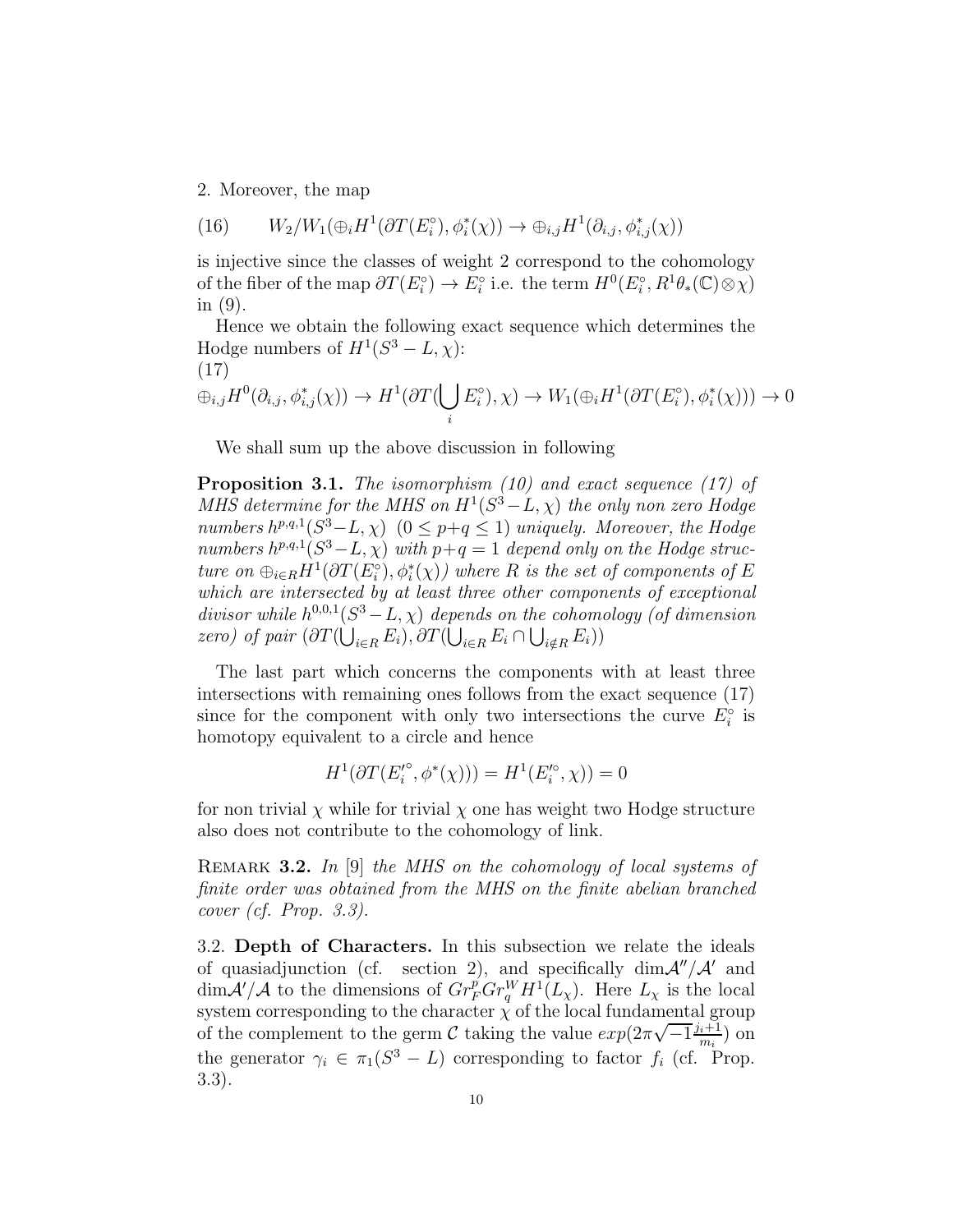2. Moreover, the map

(16) 
$$
W_2/W_1(\bigoplus_i H^1(\partial T(E_i^{\circ}), \phi_i^*(\chi)) \to \bigoplus_{i,j} H^1(\partial_{i,j}, \phi_{i,j}^*(\chi))
$$

is injective since the classes of weight 2 correspond to the cohomology of the fiber of the map  $\partial T(E_i^{\circ}) \to E_i^{\circ}$  i.e. the term  $H^0(E_i^{\circ}, R^1\theta_*(\mathbb{C}) \otimes \chi)$ in (9).

Hence we obtain the following exact sequence which determines the Hodge numbers of  $H^1(S^3 - L, \chi)$ : (17)

$$
\oplus_{i,j} H^0(\partial_{i,j}, \phi_{i,j}^*(\chi)) \to H^1(\partial T(\bigcup_i E_i^{\circ}), \chi) \to W_1(\oplus_i H^1(\partial T(E_i^{\circ}), \phi_i^*(\chi))) \to 0
$$

We shall sum up the above discussion in following

**Proposition 3.1.** The isomorphism  $(10)$  and exact sequence  $(17)$  of MHS determine for the MHS on  $H^1(S^3 - L, \chi)$  the only non zero Hodge numbers  $h^{p,q,1}(S^3-L, \chi)$   $(0 \leq p+q \leq 1)$  uniquely. Moreover, the Hodge numbers  $h^{p,q,1}(S^3-L,\chi)$  with  $p+q=1$  depend only on the Hodge structure on  $\bigoplus_{i\in R} H^1(\partial T(E_i^{\circ}), \phi_i^*(\chi))$  where R is the set of components of E which are intersected by at least three other components of exceptional divisor while  $h^{0,0,1}(S^3-L,\chi)$  depends on the cohomology (of dimension zero) of pair  $(\partial T(\bigcup_{i\in R} E_i), \partial T(\bigcup_{i\in R} E_i \cap \bigcup_{i\notin R} E_i))$ 

The last part which concerns the components with at least three intersections with remaining ones follows from the exact sequence (17) since for the component with only two intersections the curve  $E_i^{\circ}$  is homotopy equivalent to a circle and hence

$$
H^1(\partial T(E_i^{\prime \circ}, \phi^*(\chi))) = H^1(E_i^{\prime \circ}, \chi)) = 0
$$

for non trivial  $\chi$  while for trivial  $\chi$  one has weight two Hodge structure also does not contribute to the cohomology of link.

REMARK 3.2. In [9] the MHS on the cohomology of local systems of finite order was obtained from the MHS on the finite abelian branched cover (cf. Prop. 3.3).

3.2. Depth of Characters. In this subsection we relate the ideals of quasiadjunction (cf. section 2), and specifically  $\dim \mathcal{A}''/\mathcal{A}'$  and  $\dim \mathcal{A}'/\mathcal{A}$  to the dimensions of  $Gr_F^pGr_q^WH^1(L_\chi)$ . Here  $L_\chi$  is the local system corresponding to the character  $\chi$  of the local fundamental group of the complement to the germ C taking the value  $exp(2\pi\sqrt{-1}\frac{j_i+1}{m_i})$  on the generator  $\gamma_i \in \pi_1(S^3 - L)$  corresponding to factor  $f_i$  (cf. Prop. 3.3).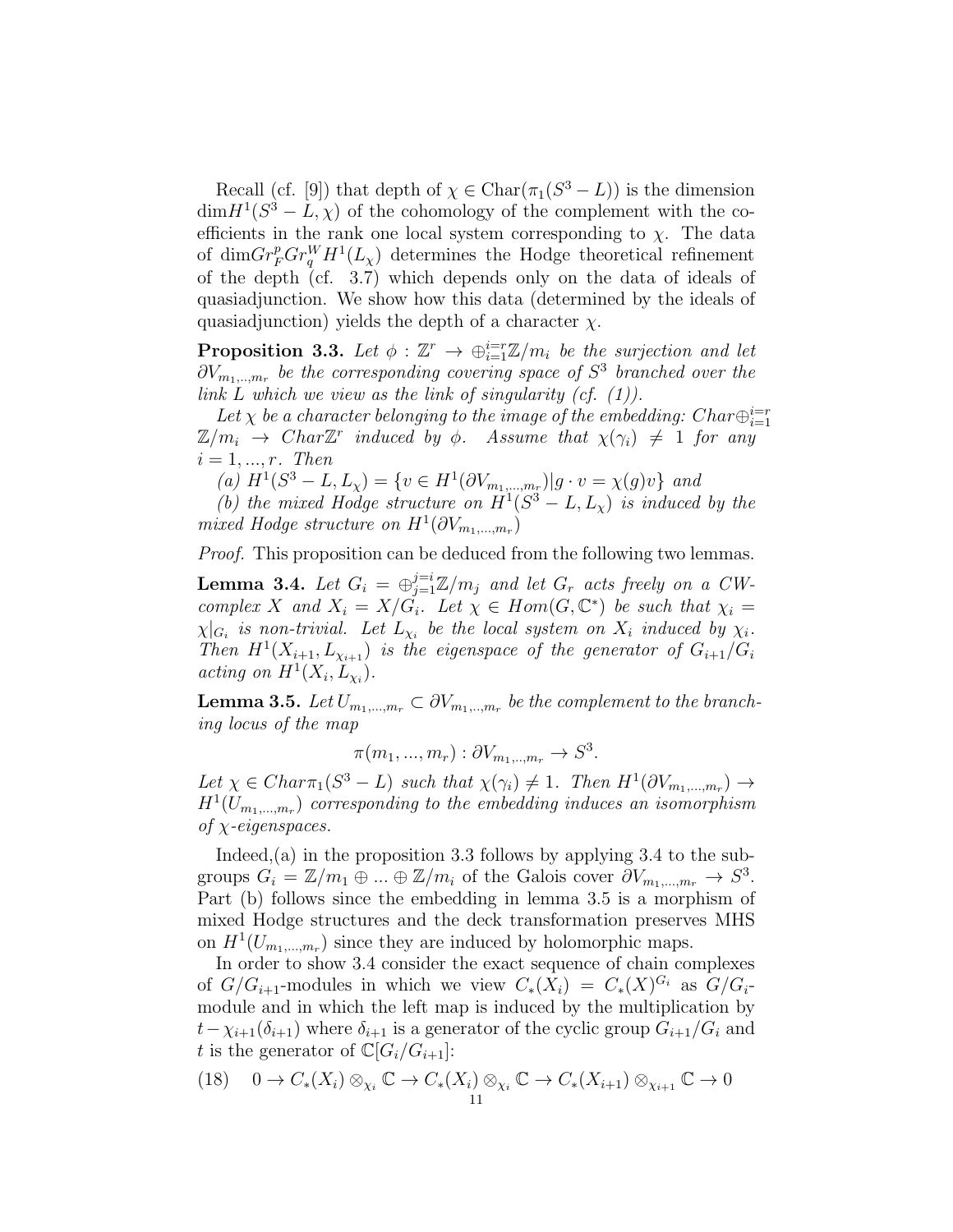Recall (cf. [9]) that depth of  $\chi \in \text{Char}(\pi_1(S^3 - L))$  is the dimension  $\dim H^1(S^3 - L, \chi)$  of the cohomology of the complement with the coefficients in the rank one local system corresponding to  $\chi$ . The data of dim $Gr_F^p Gr_q^WH^1(L_\chi)$  determines the Hodge theoretical refinement of the depth (cf. 3.7) which depends only on the data of ideals of quasiadjunction. We show how this data (determined by the ideals of quasiadjunction) yields the depth of a character  $\chi$ .

**Proposition 3.3.** Let  $\phi : \mathbb{Z}^r \to \bigoplus_{i=1}^{i=r} \mathbb{Z}/m_i$  be the surjection and let  $\partial V_{m_1,...,m_r}$  be the corresponding covering space of  $S^3$  branched over the link L which we view as the link of singularity  $(cf. (1))$ .

Let  $\chi$  be a character belonging to the image of the embedding: Char $\bigoplus_{i=1}^{i=r}$  $\mathbb{Z}/m_i \rightarrow Char \mathbb{Z}^r$  induced by  $\phi$ . Assume that  $\chi(\gamma_i) \neq 1$  for any  $i = 1, ..., r$ . Then

(a)  $H^1(S^3 - L, L_\chi) = \{v \in H^1(\partial V_{m_1, ..., m_r}) | g \cdot v = \chi(g)v\}$  and

(b) the mixed Hodge structure on  $H^1(S^3 - L, L_x)$  is induced by the mixed Hodge structure on  $H^1(\partial V_{m_1,...,m_r})$ 

Proof. This proposition can be deduced from the following two lemmas.

**Lemma 3.4.** Let  $G_i = \bigoplus_{j=1}^{j=i} \mathbb{Z}/m_j$  and let  $G_r$  acts freely on a CWcomplex X and  $X_i = X/G_i$ . Let  $\chi \in Hom(G, \mathbb{C}^*)$  be such that  $\chi_i =$  $\chi|_{G_i}$  is non-trivial. Let  $L_{\chi_i}$  be the local system on  $X_i$  induced by  $\chi_i$ . Then  $H^1(X_{i+1}, L_{X_{i+1}})$  is the eigenspace of the generator of  $G_{i+1}/G_i$ acting on  $H^1(X_i, L_{\nu_i})$ .

**Lemma 3.5.** Let  $U_{m_1,...,m_r} \subset \partial V_{m_1,...,m_r}$  be the complement to the branching locus of the map

$$
\pi(m_1, ..., m_r) : \partial V_{m_1, ..., m_r} \to S^3.
$$

Let  $\chi \in Char_1(S^3 - L)$  such that  $\chi(\gamma_i) \neq 1$ . Then  $H^1(\partial V_{m_1,...,m_r}) \rightarrow$  $H^1(U_{m_1,...,m_r})$  corresponding to the embedding induces an isomorphism of  $\chi$ -eigenspaces.

Indeed,  $(a)$  in the proposition 3.3 follows by applying 3.4 to the subgroups  $G_i = \mathbb{Z}/m_1 \oplus ... \oplus \mathbb{Z}/m_i$  of the Galois cover  $\partial V_{m_1,...,m_r} \to S^3$ . Part (b) follows since the embedding in lemma 3.5 is a morphism of mixed Hodge structures and the deck transformation preserves MHS on  $H^1(U_{m_1,...,m_r})$  since they are induced by holomorphic maps.

In order to show 3.4 consider the exact sequence of chain complexes of  $G/G_{i+1}$ -modules in which we view  $C_*(X_i) = C_*(X)^{G_i}$  as  $G/G_i$ module and in which the left map is induced by the multiplication by  $t-\chi_{i+1}(\delta_{i+1})$  where  $\delta_{i+1}$  is a generator of the cyclic group  $G_{i+1}/G_i$  and t is the generator of  $\mathbb{C}[G_i/G_{i+1}]$ :

(18) 
$$
0 \to C_*(X_i) \otimes_{\chi_i} \mathbb{C} \to C_*(X_i) \otimes_{\chi_i} \mathbb{C} \to C_*(X_{i+1}) \otimes_{\chi_{i+1}} \mathbb{C} \to 0
$$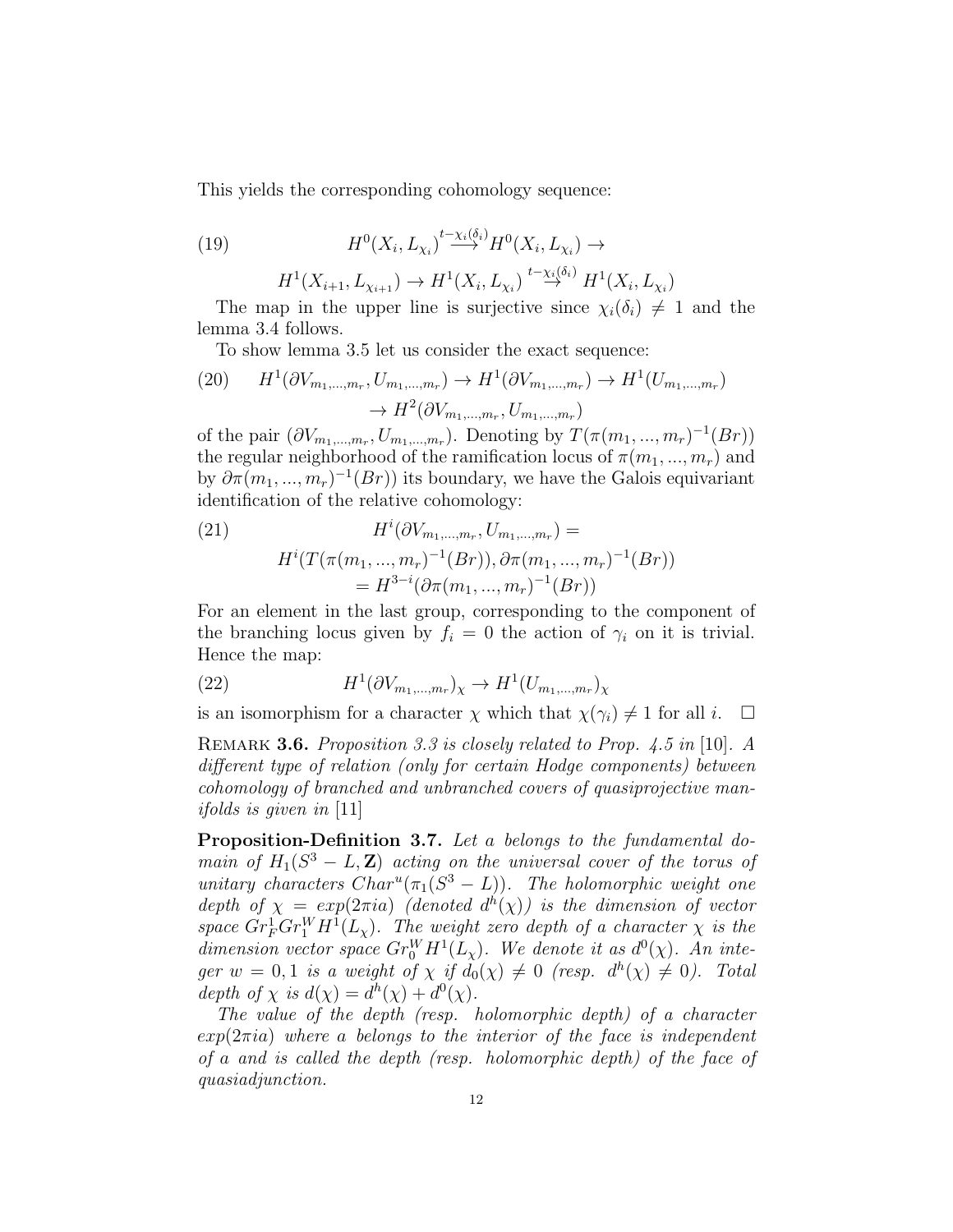This yields the corresponding cohomology sequence:

(19) 
$$
H^{0}(X_{i}, L_{\chi_{i}})^{t-\chi_{i}(\delta_{i})}H^{0}(X_{i}, L_{\chi_{i}}) \to
$$

$$
H^1(X_{i+1}, L_{\chi_{i+1}}) \to H^1(X_i, L_{\chi_i}) \stackrel{t - \chi_i(\delta_i)}{\to} H^1(X_i, L_{\chi_i})
$$

The map in the upper line is surjective since  $\chi_i(\delta_i) \neq 1$  and the lemma 3.4 follows.

To show lemma 3.5 let us consider the exact sequence:

(20) 
$$
H^{1}(\partial V_{m_{1},...,m_{r}}, U_{m_{1},...,m_{r}}) \to H^{1}(\partial V_{m_{1},...,m_{r}}) \to H^{1}(U_{m_{1},...,m_{r}})
$$

$$
\to H^{2}(\partial V_{m_{1},...,m_{r}}, U_{m_{1},...,m_{r}})
$$

of the pair  $(\partial V_{m_1,...,m_r}, U_{m_1,...,m_r})$ . Denoting by  $T(\pi(m_1,...,m_r)^{-1}(Br))$ the regular neighborhood of the ramification locus of  $\pi(m_1, ..., m_r)$  and by  $\partial \pi(m_1, ..., m_r)^{-1}(Br)$  its boundary, we have the Galois equivariant identification of the relative cohomology:

(21) 
$$
H^{i}(\partial V_{m_1,...,m_r}, U_{m_1,...,m_r}) =
$$

$$
H^{i}(T(\pi(m_1,...,m_r)^{-1}(Br)), \partial \pi(m_1,...,m_r)^{-1}(Br))
$$

$$
= H^{3-i}(\partial \pi(m_1,...,m_r)^{-1}(Br))
$$

For an element in the last group, corresponding to the component of the branching locus given by  $f_i = 0$  the action of  $\gamma_i$  on it is trivial. Hence the map:

(22) 
$$
H^{1}(\partial V_{m_1,...,m_r})_{\chi} \to H^{1}(U_{m_1,...,m_r})_{\chi}
$$

is an isomorphism for a character  $\chi$  which that  $\chi(\gamma_i) \neq 1$  for all i.  $\Box$ 

REMARK 3.6. Proposition 3.3 is closely related to Prop. 4.5 in [10]. A different type of relation (only for certain Hodge components) between cohomology of branched and unbranched covers of quasiprojective manifolds is given in [11]

Proposition-Definition 3.7. Let a belongs to the fundamental domain of  $H_1(S^3 - L, \mathbf{Z})$  acting on the universal cover of the torus of unitary characters  $Char^u(\pi_1(S^3 - L))$ . The holomorphic weight one depth of  $\chi = exp(2\pi i a)$  (denoted  $d^h(\chi)$ ) is the dimension of vector space  $Gr_F^1 Gr_Y^W H^1(L_\chi)$ . The weight zero depth of a character  $\chi$  is the dimension vector space  $Gr_0^WH^1(L_\chi)$ . We denote it as  $d^0(\chi)$ . An integer  $w = 0, 1$  is a weight of  $\chi$  if  $d_0(\chi) \neq 0$  (resp.  $d^h(\chi) \neq 0$ ). Total depth of  $\chi$  is  $d(\chi) = d^h(\chi) + d^0(\chi)$ .

The value of the depth (resp. holomorphic depth) of a character  $exp(2\pi i a)$  where a belongs to the interior of the face is independent of a and is called the depth (resp. holomorphic depth) of the face of quasiadjunction.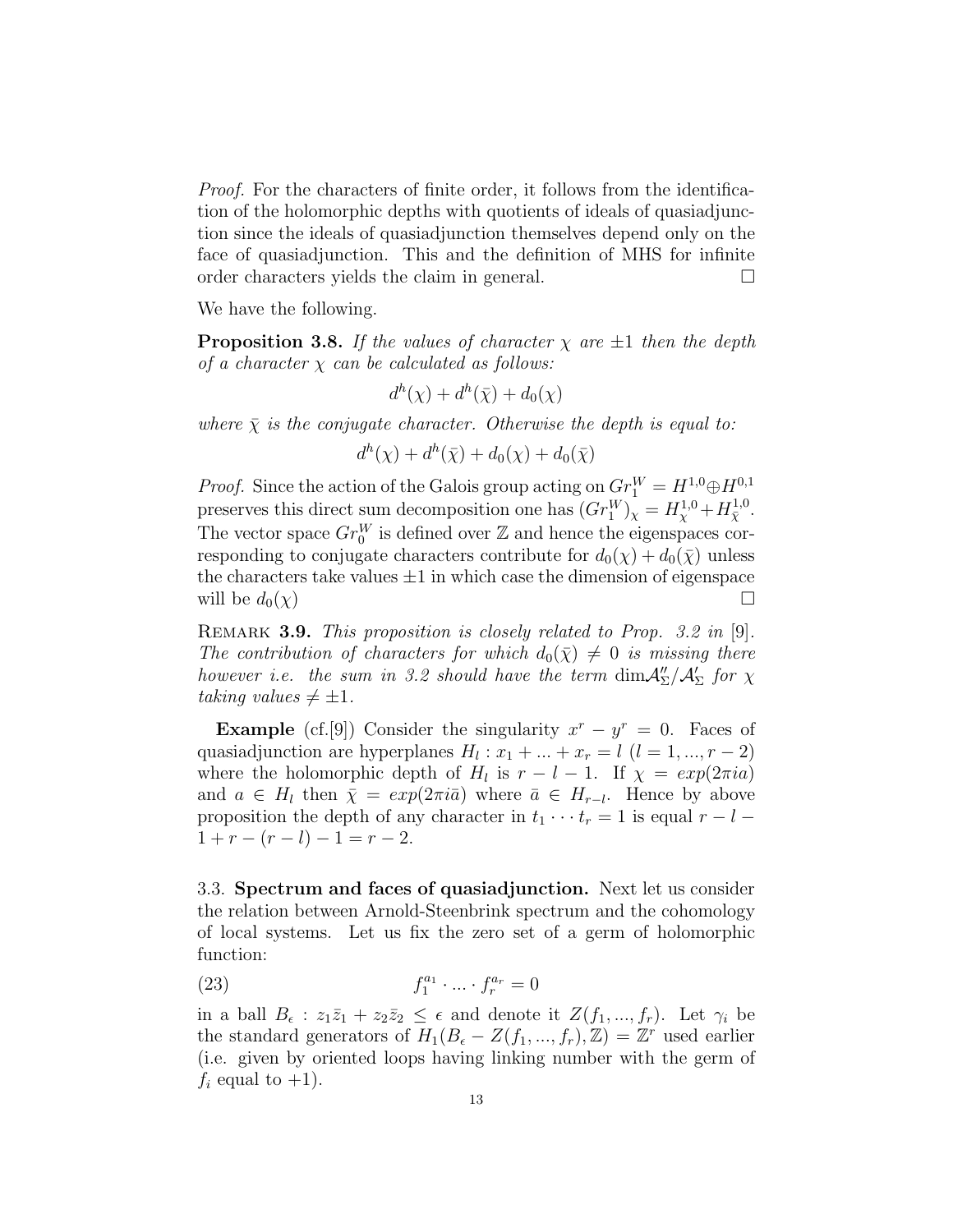Proof. For the characters of finite order, it follows from the identification of the holomorphic depths with quotients of ideals of quasiadjunction since the ideals of quasiadjunction themselves depend only on the face of quasiadjunction. This and the definition of MHS for infinite order characters yields the claim in general.  $\Box$ 

We have the following.

**Proposition 3.8.** If the values of character  $\chi$  are  $\pm 1$  then the depth of a character  $\chi$  can be calculated as follows:

 $d^h(\chi) + d^h(\bar{\chi}) + d_0(\chi)$ 

where  $\bar{\chi}$  is the conjugate character. Otherwise the depth is equal to:

 $d^h(\chi) + d^h(\bar{\chi}) + d_0(\chi) + d_0(\bar{\chi})$ 

*Proof.* Since the action of the Galois group acting on  $Gr_1^W = H^{1,0} \oplus H^{0,1}$ preserves this direct sum decomposition one has  $(Gr_1^W)_\chi = H_\chi^{1,0} + H_{\overline{\chi}}^{1,0}$ . The vector space  $Gr_0^W$  is defined over  $\mathbb Z$  and hence the eigenspaces corresponding to conjugate characters contribute for  $d_0(\chi) + d_0(\bar{\chi})$  unless the characters take values  $\pm 1$  in which case the dimension of eigenspace will be  $d_0(\chi)$ will be  $d_0(\chi)$ 

REMARK 3.9. This proposition is closely related to Prop. 3.2 in [9]. The contribution of characters for which  $d_0(\bar{\chi}) \neq 0$  is missing there however i.e. the sum in 3.2 should have the term  $\dim \mathcal{A}_{\Sigma}''/\mathcal{A}_{\Sigma}'$  for  $\chi$ taking values  $\neq \pm 1$ .

**Example** (cf.[9]) Consider the singularity  $x^r - y^r = 0$ . Faces of quasiadjunction are hyperplanes  $H_l : x_1 + ... + x_r = l$   $(l = 1, ..., r - 2)$ where the holomorphic depth of  $H_l$  is  $r - l - 1$ . If  $\chi = exp(2\pi i a)$ and  $a \in H_l$  then  $\bar{\chi} = exp(2\pi i \bar{a})$  where  $\bar{a} \in H_{r-l}$ . Hence by above proposition the depth of any character in  $t_1 \cdots t_r = 1$  is equal  $r - l 1 + r - (r - l) - 1 = r - 2.$ 

3.3. Spectrum and faces of quasiadjunction. Next let us consider the relation between Arnold-Steenbrink spectrum and the cohomology of local systems. Let us fix the zero set of a germ of holomorphic function:

$$
(23) \t\t\t f_1^{a_1} \cdot \ldots \cdot f_r^{a_r} = 0
$$

in a ball  $B_{\epsilon}: z_1\bar{z}_1 + z_2\bar{z}_2 \leq \epsilon$  and denote it  $Z(f_1, ..., f_r)$ . Let  $\gamma_i$  be the standard generators of  $H_1(B_\epsilon - Z(f_1, ..., f_r), \mathbb{Z}) = \mathbb{Z}^r$  used earlier (i.e. given by oriented loops having linking number with the germ of  $f_i$  equal to  $+1$ ).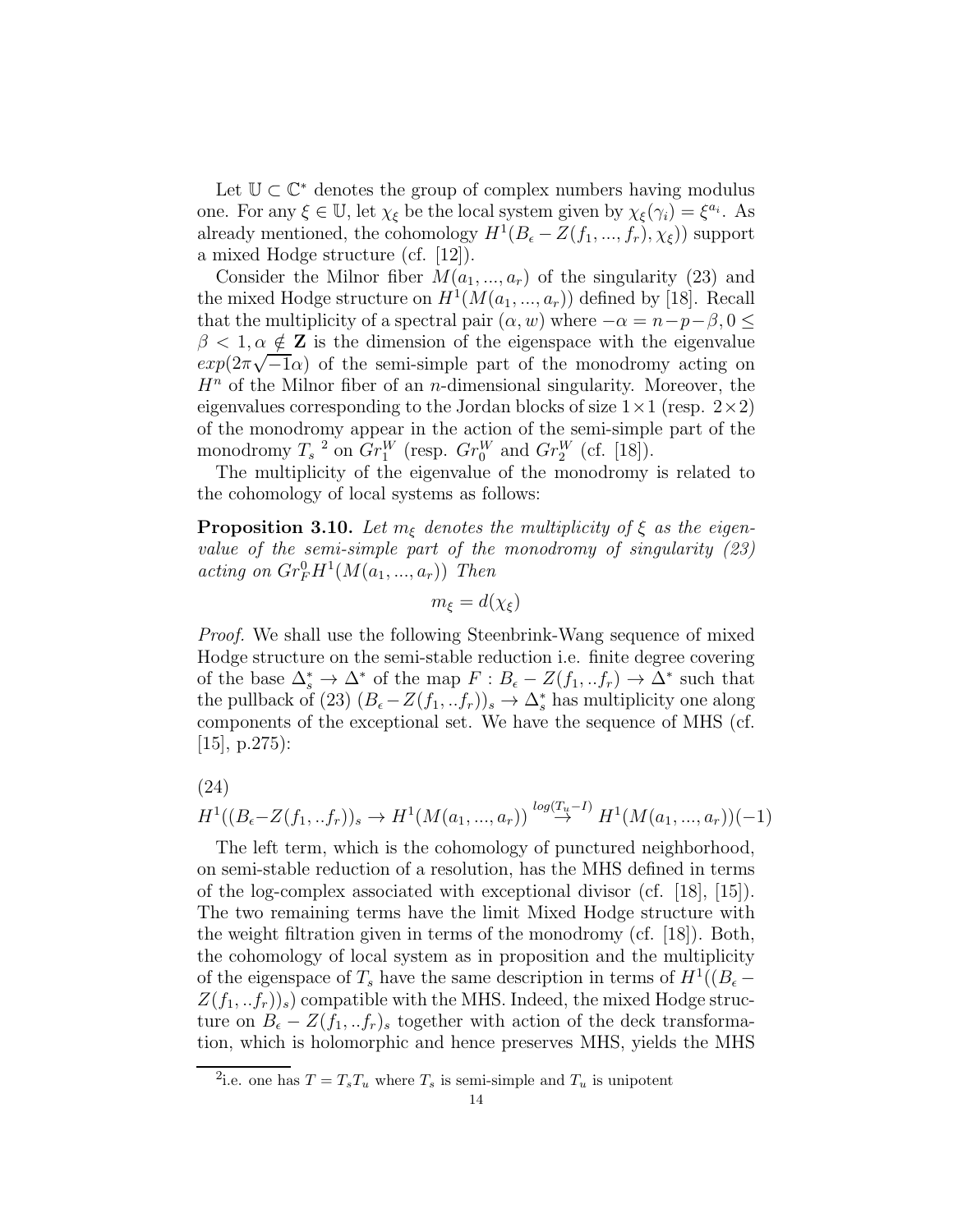Let  $\mathbb{U} \subset \mathbb{C}^*$  denotes the group of complex numbers having modulus one. For any  $\xi \in \mathbb{U}$ , let  $\chi_{\xi}$  be the local system given by  $\chi_{\xi}(\gamma_i) = \xi^{a_i}$ . As already mentioned, the cohomology  $H^1(B_\epsilon - Z(f_1, ..., f_r), \chi_{\epsilon})$  support a mixed Hodge structure (cf. [12]).

Consider the Milnor fiber  $M(a_1, ..., a_r)$  of the singularity (23) and the mixed Hodge structure on  $H^1(M(a_1, ..., a_r))$  defined by [18]. Recall that the multiplicity of a spectral pair  $(\alpha, w)$  where  $-\alpha = n-p-\beta, 0 \leq$  $\beta$  < 1,  $\alpha \notin \mathbf{Z}$  is the dimension of the eigenspace with the eigenvalue  $exp(2\pi\sqrt{-1}\alpha)$  of the semi-simple part of the monodromy acting on  $H<sup>n</sup>$  of the Milnor fiber of an *n*-dimensional singularity. Moreover, the eigenvalues corresponding to the Jordan blocks of size  $1 \times 1$  (resp.  $2 \times 2$ ) of the monodromy appear in the action of the semi-simple part of the monodromy  $T_s$ <sup>2</sup> on  $Gr_1^W$  (resp.  $Gr_0^W$  and  $Gr_2^W$  (cf. [18]).

The multiplicity of the eigenvalue of the monodromy is related to the cohomology of local systems as follows:

**Proposition 3.10.** Let  $m_{\xi}$  denotes the multiplicity of  $\xi$  as the eigenvalue of the semi-simple part of the monodromy of singularity (23) acting on  $Gr_F^0 H^1(M(a_1, ..., a_r))$  Then

$$
m_{\xi} = d(\chi_{\xi})
$$

Proof. We shall use the following Steenbrink-Wang sequence of mixed Hodge structure on the semi-stable reduction i.e. finite degree covering of the base  $\Delta_s^* \to \Delta^*$  of the map  $F : B_{\epsilon} - Z(f_1, f_r) \to \Delta^*$  such that the pullback of (23)  $(B_{\epsilon}-Z(f_1,..f_r))_s \to \Delta_s^*$  has multiplicity one along components of the exceptional set. We have the sequence of MHS (cf. [15], p.275):

$$
(24)
$$

$$
H^1((B_{\epsilon}-Z(f_1,..f_r))_s \to H^1(M(a_1,...,a_r)) \stackrel{\log(T_u-I)}{\to} H^1(M(a_1,...,a_r))(-1)
$$

The left term, which is the cohomology of punctured neighborhood, on semi-stable reduction of a resolution, has the MHS defined in terms of the log-complex associated with exceptional divisor (cf. [18], [15]). The two remaining terms have the limit Mixed Hodge structure with the weight filtration given in terms of the monodromy (cf. [18]). Both, the cohomology of local system as in proposition and the multiplicity of the eigenspace of  $T_s$  have the same description in terms of  $H^1((B_\epsilon Z(f_1,..f_r)$  compatible with the MHS. Indeed, the mixed Hodge structure on  $B_{\epsilon} - Z(f_1,..f_r)$  together with action of the deck transformation, which is holomorphic and hence preserves MHS, yields the MHS

<sup>&</sup>lt;sup>2</sup>i.e. one has  $T = T_s T_u$  where  $T_s$  is semi-simple and  $T_u$  is unipotent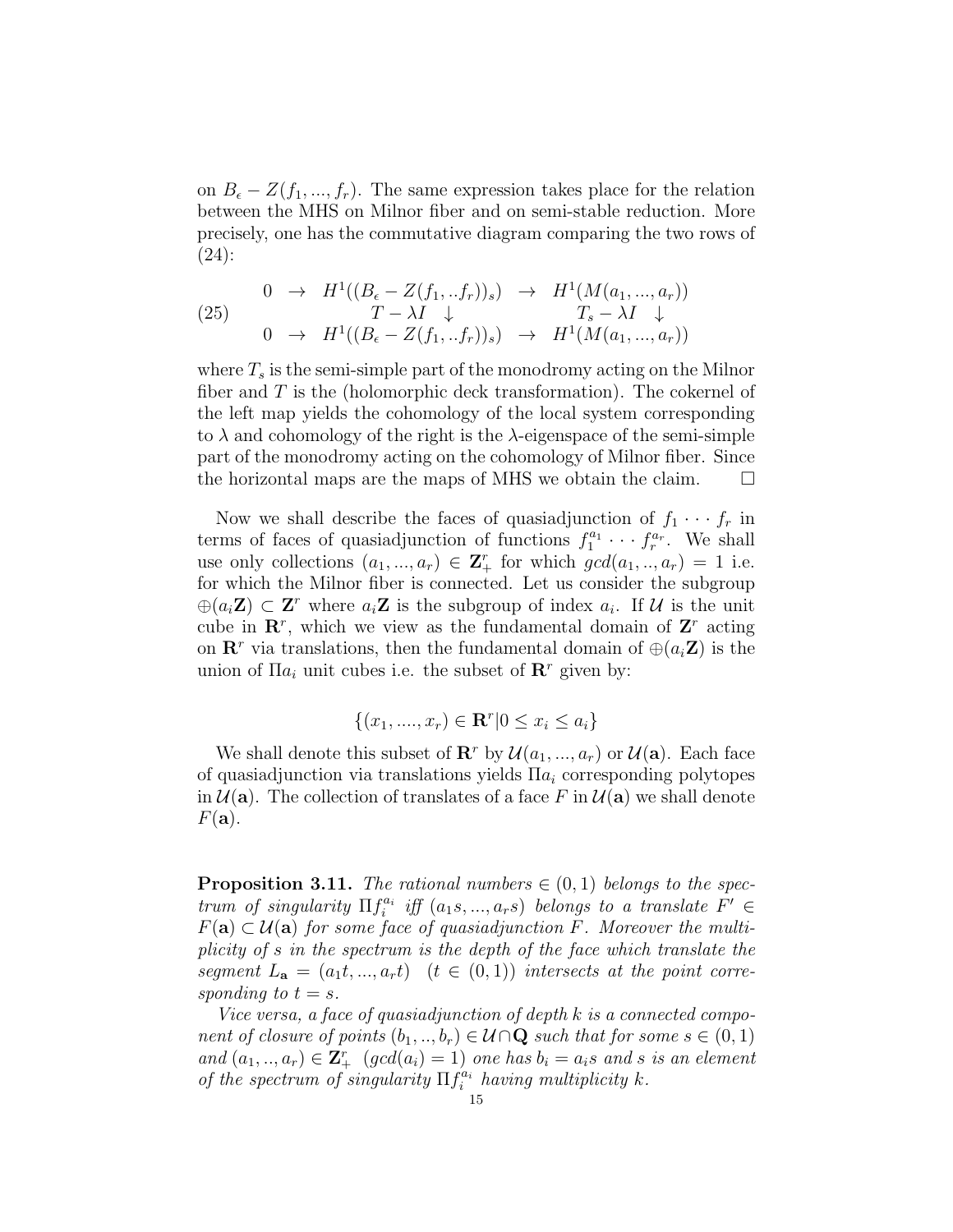on  $B_{\epsilon} - Z(f_1, ..., f_r)$ . The same expression takes place for the relation between the MHS on Milnor fiber and on semi-stable reduction. More precisely, one has the commutative diagram comparing the two rows of (24):

(25) 
$$
\begin{array}{cccc} 0 & \rightarrow & H^{1}((B_{\epsilon}-Z(f_{1},..f_{r}))_{s}) & \rightarrow & H^{1}(M(a_{1},...,a_{r})) \\ T-\lambda I & \downarrow & T_{s}-\lambda I & \downarrow \\ 0 & \rightarrow & H^{1}((B_{\epsilon}-Z(f_{1},..f_{r}))_{s}) & \rightarrow & H^{1}(M(a_{1},...,a_{r})) \end{array}
$$

where  $T_s$  is the semi-simple part of the monodromy acting on the Milnor fiber and  $T$  is the (holomorphic deck transformation). The cokernel of the left map yields the cohomology of the local system corresponding to  $\lambda$  and cohomology of the right is the  $\lambda$ -eigenspace of the semi-simple part of the monodromy acting on the cohomology of Milnor fiber. Since the horizontal maps are the maps of MHS we obtain the claim.  $\Box$ 

Now we shall describe the faces of quasiadjunction of  $f_1 \cdots f_r$  in terms of faces of quasiadjunction of functions  $f_1^{a_1} \cdots f_r^{a_r}$ . We shall use only collections  $(a_1, ..., a_r) \in \mathbf{Z}_+^r$  for which  $gcd(a_1, ..., a_r) = 1$  i.e. for which the Milnor fiber is connected. Let us consider the subgroup  $\oplus (a_i\mathbf{Z}) \subset \mathbf{Z}^r$  where  $a_i\mathbf{Z}$  is the subgroup of index  $a_i$ . If U is the unit cube in  $\mathbb{R}^r$ , which we view as the fundamental domain of  $\mathbb{Z}^r$  acting on  $\mathbf{R}^r$  via translations, then the fundamental domain of  $\oplus (a_i, \mathbf{Z})$  is the union of  $\Pi a_i$  unit cubes i.e. the subset of  $\mathbb{R}^r$  given by:

$$
\{(x_1, ..., x_r) \in \mathbf{R}^r | 0 \le x_i \le a_i\}
$$

We shall denote this subset of  $\mathbb{R}^r$  by  $\mathcal{U}(a_1, ..., a_r)$  or  $\mathcal{U}(\mathbf{a})$ . Each face of quasiadjunction via translations yields  $\Pi a_i$  corresponding polytopes in  $\mathcal{U}(\mathbf{a})$ . The collection of translates of a face F in  $\mathcal{U}(\mathbf{a})$  we shall denote  $F(\mathbf{a})$ .

**Proposition 3.11.** The rational numbers  $\in (0,1)$  belongs to the spectrum of singularity  $\Pi f_i^{a_i}$  iff  $(a_1, \ldots, a_r)$  belongs to a translate  $F' \in$  $F(\mathbf{a}) \subset \mathcal{U}(\mathbf{a})$  for some face of quasiadjunction  $\tilde{F}$ . Moreover the multiplicity of s in the spectrum is the depth of the face which translate the segment  $L_{\mathbf{a}} = (a_1t, ..., a_rt)$   $(t \in (0,1))$  intersects at the point corresponding to  $t = s$ .

Vice versa, a face of quasiadjunction of depth k is a connected component of closure of points  $(b_1, ..., b_r) \in \mathcal{U} \cap \mathbf{Q}$  such that for some  $s \in (0, 1)$ and  $(a_1, ..., a_r) \in \mathbf{Z}_{+}^{r}$   $(gcd(a_i) = 1)$  one has  $b_i = a_i s$  and s is an element of the spectrum of singularity  $\prod_{i=1}^{n} f_i^{a_i}$  having multiplicity k.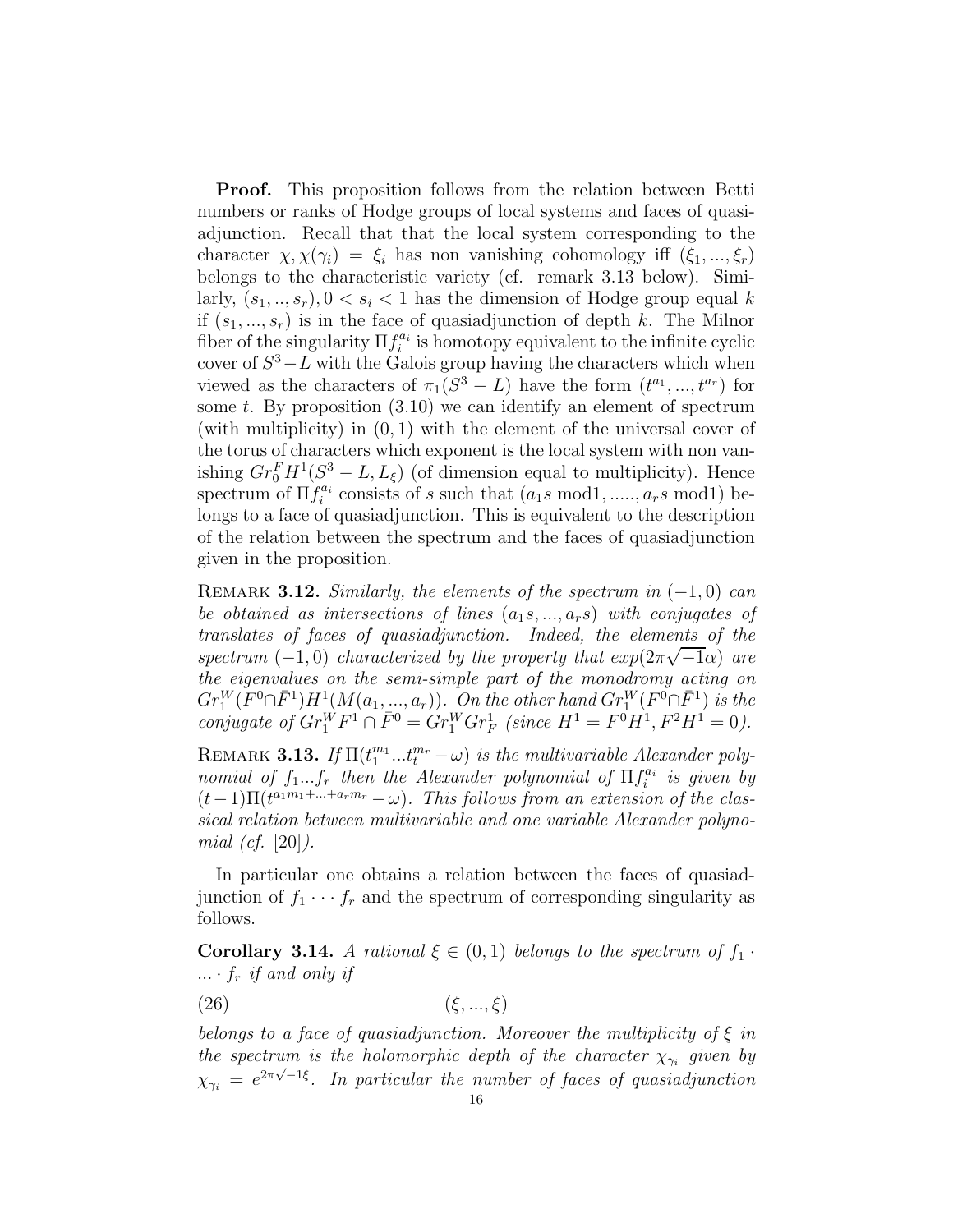Proof. This proposition follows from the relation between Betti numbers or ranks of Hodge groups of local systems and faces of quasiadjunction. Recall that that the local system corresponding to the character  $\chi, \chi(\gamma_i) = \xi_i$  has non vanishing cohomology iff  $(\xi_1, ..., \xi_r)$ belongs to the characteristic variety (cf. remark 3.13 below). Similarly,  $(s_1, ..., s_r)$ ,  $0 < s_i < 1$  has the dimension of Hodge group equal k if  $(s_1, ..., s_r)$  is in the face of quasiadjunction of depth k. The Milnor fiber of the singularity  $\Pi f_i^{a_i}$  is homotopy equivalent to the infinite cyclic cover of  $S^3 - L$  with the Galois group having the characters which when viewed as the characters of  $\pi_1(S^3 - L)$  have the form  $(t^{a_1},..., t^{a_r})$  for some t. By proposition  $(3.10)$  we can identify an element of spectrum (with multiplicity) in  $(0, 1)$  with the element of the universal cover of the torus of characters which exponent is the local system with non vanishing  $Gr_0^F H^1(S^3 - L, L_{\xi})$  (of dimension equal to multiplicity). Hence spectrum of  $\Pi f_i^{a_i}$  consists of s such that  $(a_1s \mod 1, \ldots, a_r s \mod 1)$  belongs to a face of quasiadjunction. This is equivalent to the description of the relation between the spectrum and the faces of quasiadjunction given in the proposition.

REMARK 3.12. Similarly, the elements of the spectrum in  $(-1,0)$  can be obtained as intersections of lines  $(a_1, a_2, \ldots, a_r)$  with conjugates of translates of faces of quasiadjunction. Indeed, the elements of the spectrum  $(-1,0)$  characterized by the property that  $exp(2\pi\sqrt{-1}\alpha)$  are the eigenvalues on the semi-simple part of the monodromy acting on  $Gr_1^W(F^0 \cap \bar{F}^1)H^1(M(a_1, ..., a_r)).$  On the other hand  $Gr_1^W(F^0 \cap \bar{F}^1)$  is the conjugate of  $Gr_1^W F^1 \cap \overline{F}^0 = Gr_1^W Gr_F^1$  (since  $H^1 = F^0 H^1, F^2 H^1 = 0$ ).

REMARK 3.13. If  $\Pi(t_1^{m_1}...t_t^{m_r}-\omega)$  is the multivariable Alexander polynomial of  $f_1...f_r$  then the Alexander polynomial of  $\Pi f_i^{a_i}$  is given by  $(t-1)\Pi(t^{a_1m_1+\ldots+a_rm_r}-\omega)$ . This follows from an extension of the classical relation between multivariable and one variable Alexander polynomial (cf.  $|20|$ ).

In particular one obtains a relation between the faces of quasiadjunction of  $f_1 \cdots f_r$  and the spectrum of corresponding singularity as follows.

**Corollary 3.14.** A rational  $\xi \in (0,1)$  belongs to the spectrum of  $f_1$ .  $\ldots$  ·  $f_r$  if and only if

$$
(26)\qquad \qquad (\xi, ..., \xi)
$$

belongs to a face of quasiadjunction. Moreover the multiplicity of  $\xi$  in the spectrum is the holomorphic depth of the character  $\chi_{\gamma_i}$  given by  $\chi_{\gamma_i} = e^{2\pi\sqrt{-1}\xi}$ . In particular the number of faces of quasiadjunction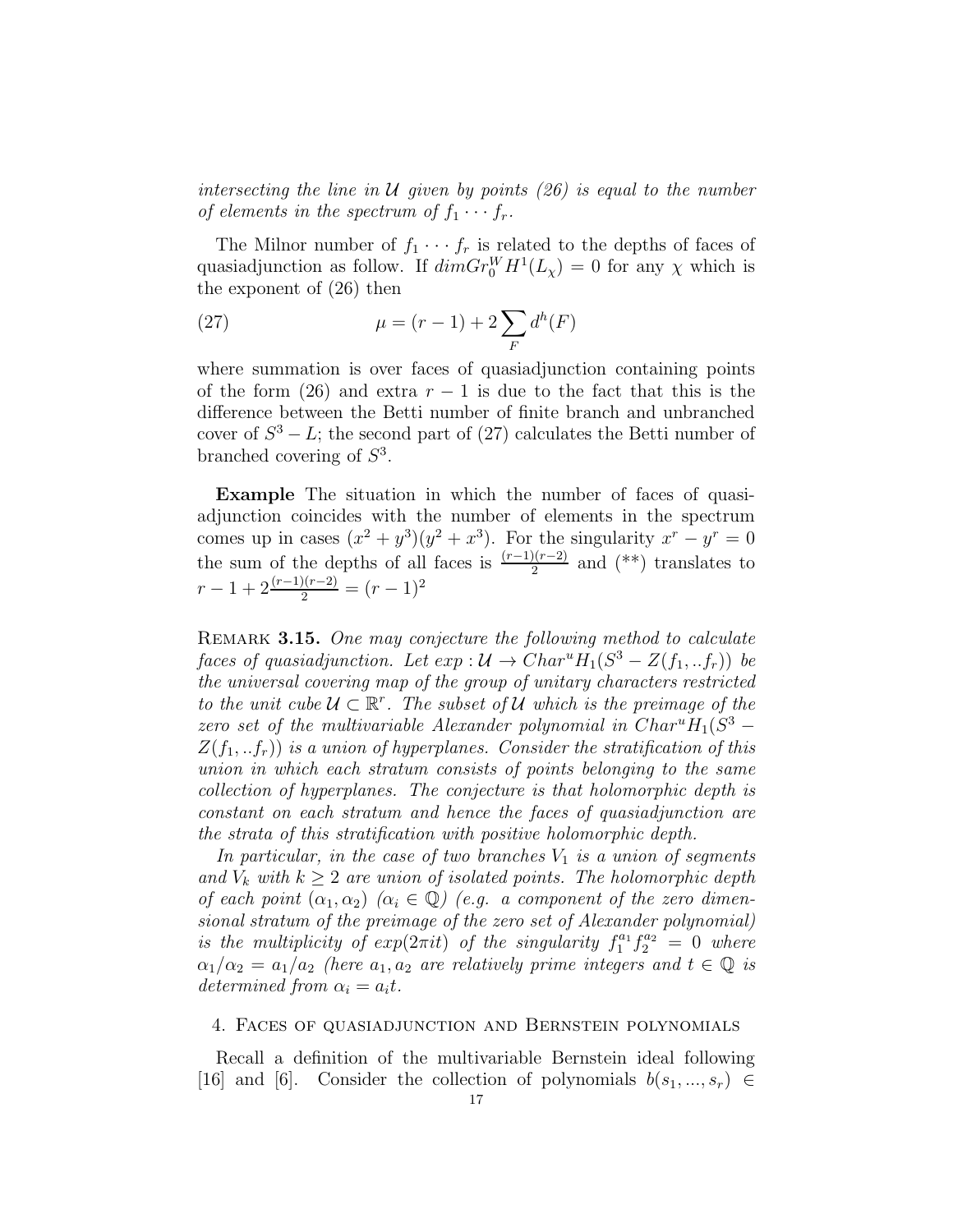intersecting the line in U given by points  $(26)$  is equal to the number of elements in the spectrum of  $f_1 \cdots f_r$ .

The Milnor number of  $f_1 \cdots f_r$  is related to the depths of faces of quasiadjunction as follow. If  $\dim Gr_0^WH^1(L_\chi) = 0$  for any  $\chi$  which is the exponent of (26) then

(27) 
$$
\mu = (r-1) + 2 \sum_{F} d^{h}(F)
$$

where summation is over faces of quasiadjunction containing points of the form (26) and extra  $r-1$  is due to the fact that this is the difference between the Betti number of finite branch and unbranched cover of  $S^3 - L$ ; the second part of (27) calculates the Betti number of branched covering of  $S^3$ .

Example The situation in which the number of faces of quasiadjunction coincides with the number of elements in the spectrum comes up in cases  $(x^2 + y^3)(y^2 + x^3)$ . For the singularity  $x^r - y^r = 0$ the sum of the depths of all faces is  $\frac{(r-1)(r-2)}{2}$  and  $(**)$  translates to  $r-1+2\frac{(r-1)(r-2)}{2}=(r-1)^2$ 

REMARK 3.15. One may conjecture the following method to calculate faces of quasiadjunction. Let  $exp: \mathcal{U} \to Char^u H_1(S^3 - Z(f_1, . . f_r))$  be the universal covering map of the group of unitary characters restricted to the unit cube  $\mathcal{U} \subset \mathbb{R}^r$ . The subset of  $\mathcal{U}$  which is the preimage of the zero set of the multivariable Alexander polynomial in  $Char^uH_1(S^3$  –  $Z(f_1,..f_r)$  is a union of hyperplanes. Consider the stratification of this union in which each stratum consists of points belonging to the same collection of hyperplanes. The conjecture is that holomorphic depth is constant on each stratum and hence the faces of quasiadjunction are the strata of this stratification with positive holomorphic depth.

In particular, in the case of two branches  $V_1$  is a union of segments and  $V_k$  with  $k \geq 2$  are union of isolated points. The holomorphic depth of each point  $(\alpha_1, \alpha_2)$   $(\alpha_i \in \mathbb{Q})$  (e.g. a component of the zero dimensional stratum of the preimage of the zero set of Alexander polynomial) is the multiplicity of  $exp(2\pi it)$  of the singularity  $f_1^{a_1} f_2^{a_2} = 0$  where  $\alpha_1/\alpha_2 = a_1/a_2$  (here  $a_1, a_2$  are relatively prime integers and  $t \in \mathbb{Q}$  is determined from  $\alpha_i = a_i t$ .

#### 4. Faces of quasiadjunction and Bernstein polynomials

Recall a definition of the multivariable Bernstein ideal following [16] and [6]. Consider the collection of polynomials  $b(s_1, ..., s_r) \in$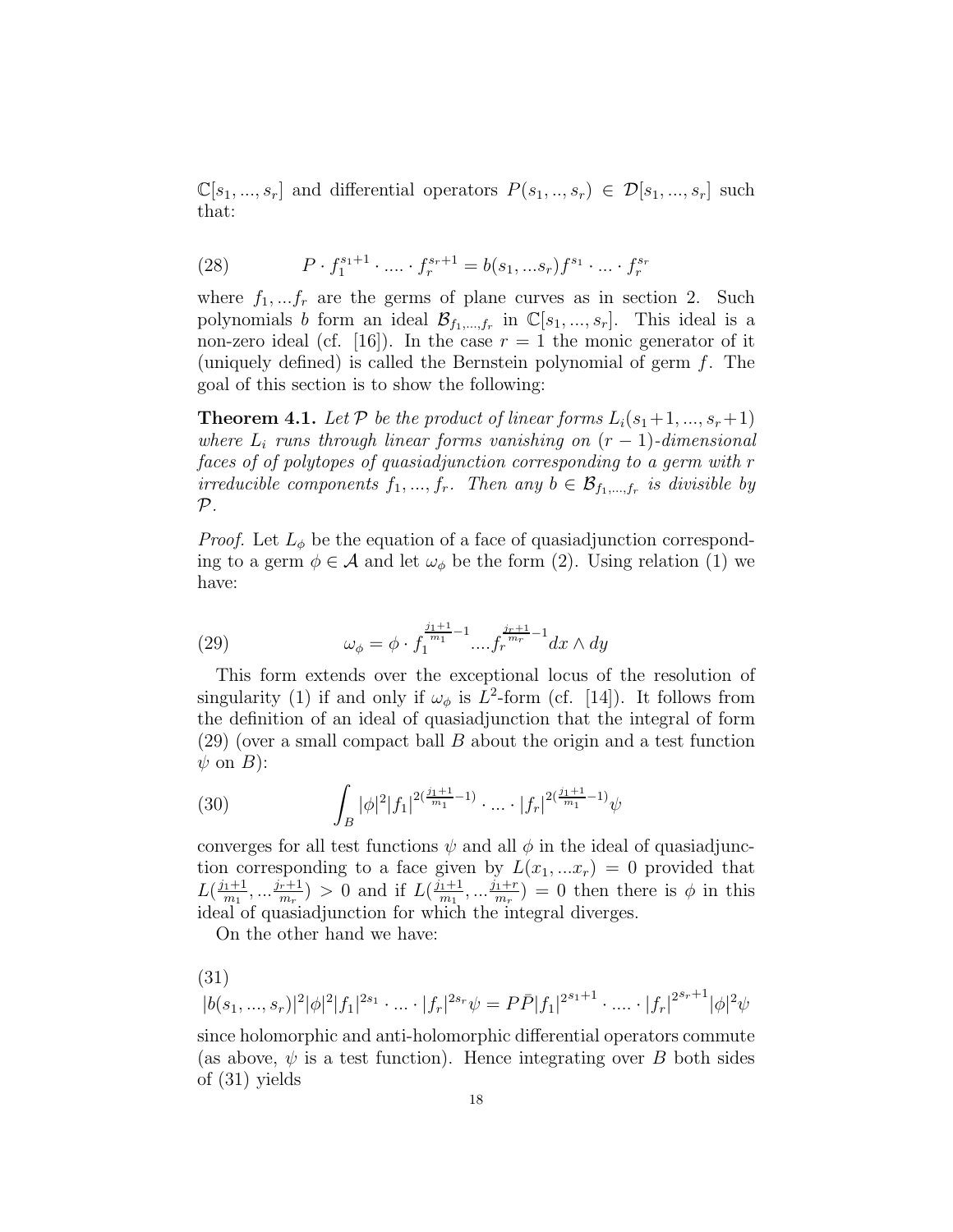$\mathbb{C}[s_1, ..., s_r]$  and differential operators  $P(s_1, ..., s_r) \in \mathcal{D}[s_1, ..., s_r]$  such that:

(28) 
$$
P \cdot f_1^{s_1+1} \cdot \ldots \cdot f_r^{s_r+1} = b(s_1, \ldots s_r) f^{s_1} \cdot \ldots \cdot f_r^{s_r}
$$

where  $f_1, \ldots, f_r$  are the germs of plane curves as in section 2. Such polynomials b form an ideal  $\mathcal{B}_{f_1,...,f_r}$  in  $\mathbb{C}[s_1,...,s_r]$ . This ideal is a non-zero ideal (cf. [16]). In the case  $r = 1$  the monic generator of it (uniquely defined) is called the Bernstein polynomial of germ  $f$ . The goal of this section is to show the following:

**Theorem 4.1.** Let P be the product of linear forms  $L_i(s_1+1, ..., s_r+1)$ where  $L_i$  runs through linear forms vanishing on  $(r-1)$ -dimensional faces of of polytopes of quasiadjunction corresponding to a germ with r irreducible components  $f_1, ..., f_r$ . Then any  $b \in \mathcal{B}_{f_1,...,f_r}$  is divisible by  $\mathcal{P}.$ 

*Proof.* Let  $L_{\phi}$  be the equation of a face of quasiadjunction corresponding to a germ  $\phi \in \mathcal{A}$  and let  $\omega_{\phi}$  be the form (2). Using relation (1) we have:

(29) 
$$
\omega_{\phi} = \phi \cdot f_1^{\frac{j_1+1}{m_1}-1} \dots f_r^{\frac{j_r+1}{m_r}-1} dx \wedge dy
$$

This form extends over the exceptional locus of the resolution of singularity (1) if and only if  $\omega_{\phi}$  is  $L^2$ -form (cf. [14]). It follows from the definition of an ideal of quasiadjunction that the integral of form  $(29)$  (over a small compact ball B about the origin and a test function  $\psi$  on  $B$ ):

(30) 
$$
\int_{B} |\phi|^2 |f_1|^{2(\frac{j_1+1}{m_1}-1)} \cdot \dots \cdot |f_r|^{2(\frac{j_1+1}{m_1}-1)} \psi
$$

converges for all test functions  $\psi$  and all  $\phi$  in the ideal of quasiadjunction corresponding to a face given by  $L(x_1,...x_r) = 0$  provided that  $L(\frac{j_1+1}{m_1}, \dots, \frac{j_r+1}{m_r}) > 0$  and if  $L(\frac{j_1+1}{m_1}, \dots, \frac{j_1+r}{m_r}) = 0$  then there is  $\phi$  in this ideal of quasiadjunction for which the integral diverges.

On the other hand we have:

(31)  
\n
$$
|b(s_1, ..., s_r)|^2 |\phi|^2 |f_1|^{2s_1} \cdot ... \cdot |f_r|^{2s_r} \psi = P \bar{P} |f_1|^{2s_1+1} \cdot ... \cdot |f_r|^{2s_r+1} |\phi|^2 \psi
$$

since holomorphic and anti-holomorphic differential operators commute (as above,  $\psi$  is a test function). Hence integrating over B both sides of (31) yields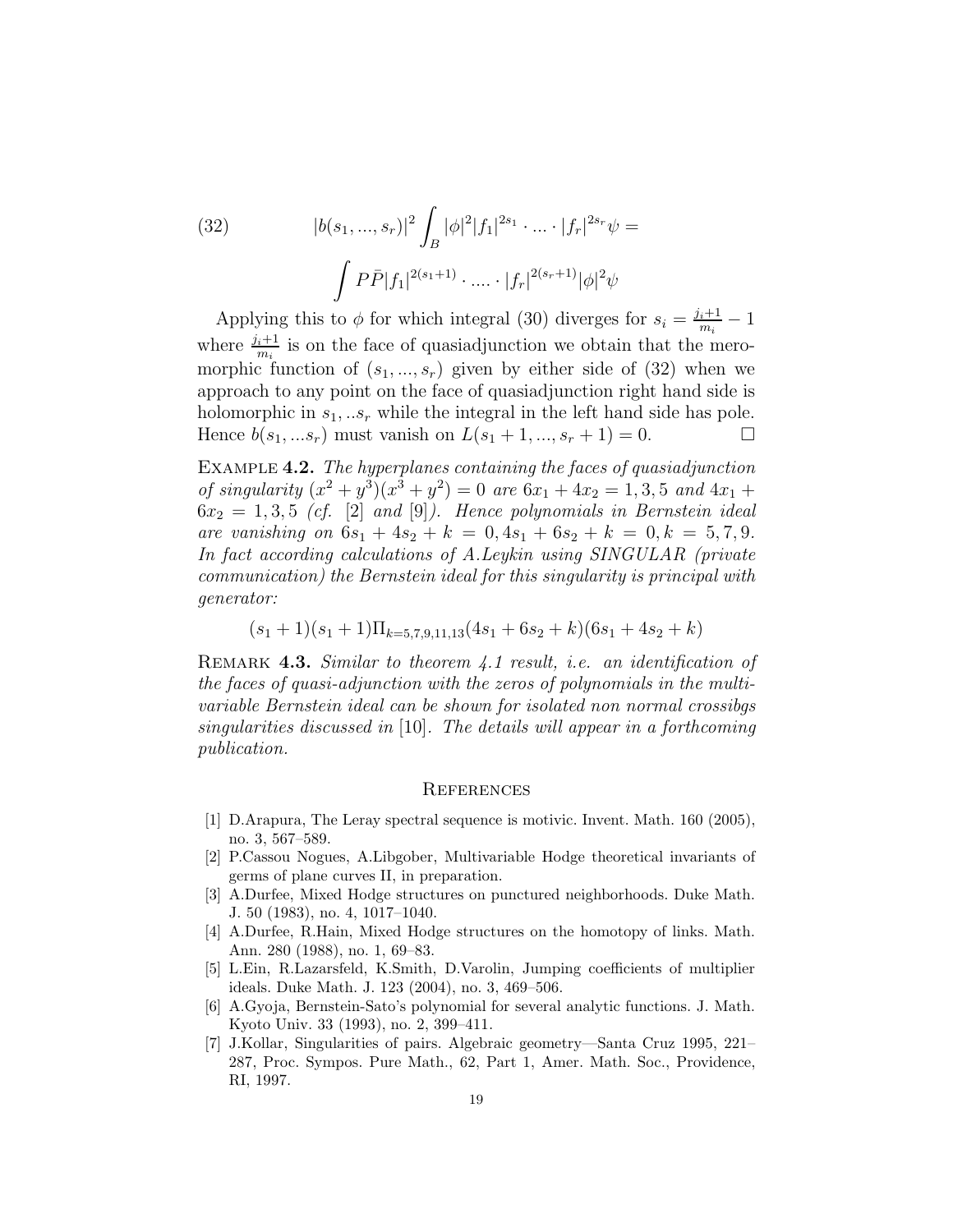(32) 
$$
|b(s_1, ..., s_r)|^2 \int_B |\phi|^2 |f_1|^{2s_1} \cdot ... \cdot |f_r|^{2s_r} \psi =
$$

$$
\int P \bar{P} |f_1|^{2(s_1+1)} \cdot ... \cdot |f_r|^{2(s_r+1)} |\phi|^2 \psi
$$

Applying this to  $\phi$  for which integral (30) diverges for  $s_i = \frac{j_i+1}{m_i} - 1$ where  $\frac{j_i+1}{m_i}$  is on the face of quasiadjunction we obtain that the meromorphic function of  $(s_1, ..., s_r)$  given by either side of  $(32)$  when we approach to any point on the face of quasiadjunction right hand side is holomorphic in  $s_1, \ldots s_r$  while the integral in the left hand side has pole. Hence  $b(s_1, ... s_r)$  must vanish on  $L(s_1 + 1, ..., s_r + 1) = 0$ .

Example 4.2. The hyperplanes containing the faces of quasiadjunction of singularity  $(x^2 + y^3)(x^3 + y^2) = 0$  are  $6x_1 + 4x_2 = 1, 3, 5$  and  $4x_1 +$  $6x_2 = 1, 3, 5$  (cf. [2] and [9]). Hence polynomials in Bernstein ideal are vanishing on  $6s_1 + 4s_2 + k = 0, 4s_1 + 6s_2 + k = 0, k = 5, 7, 9$ . In fact according calculations of A.Leykin using SINGULAR (private communication) the Bernstein ideal for this singularity is principal with generator:

$$
(s_1+1)(s_1+1)\Pi_{k=5,7,9,11,13}(4s_1+6s_2+k)(6s_1+4s_2+k)
$$

REMARK 4.3. Similar to theorem 4.1 result, i.e. an identification of the faces of quasi-adjunction with the zeros of polynomials in the multivariable Bernstein ideal can be shown for isolated non normal crossibgs singularities discussed in [10]. The details will appear in a forthcoming publication.

#### **REFERENCES**

- [1] D.Arapura, The Leray spectral sequence is motivic. Invent. Math. 160 (2005), no. 3, 567–589.
- [2] P.Cassou Nogues, A.Libgober, Multivariable Hodge theoretical invariants of germs of plane curves II, in preparation.
- [3] A.Durfee, Mixed Hodge structures on punctured neighborhoods. Duke Math. J. 50 (1983), no. 4, 1017–1040.
- [4] A.Durfee, R.Hain, Mixed Hodge structures on the homotopy of links. Math. Ann. 280 (1988), no. 1, 69–83.
- [5] L.Ein, R.Lazarsfeld, K.Smith, D.Varolin, Jumping coefficients of multiplier ideals. Duke Math. J. 123 (2004), no. 3, 469–506.
- [6] A.Gyoja, Bernstein-Sato's polynomial for several analytic functions. J. Math. Kyoto Univ. 33 (1993), no. 2, 399–411.
- [7] J.Kollar, Singularities of pairs. Algebraic geometry—Santa Cruz 1995, 221– 287, Proc. Sympos. Pure Math., 62, Part 1, Amer. Math. Soc., Providence, RI, 1997.